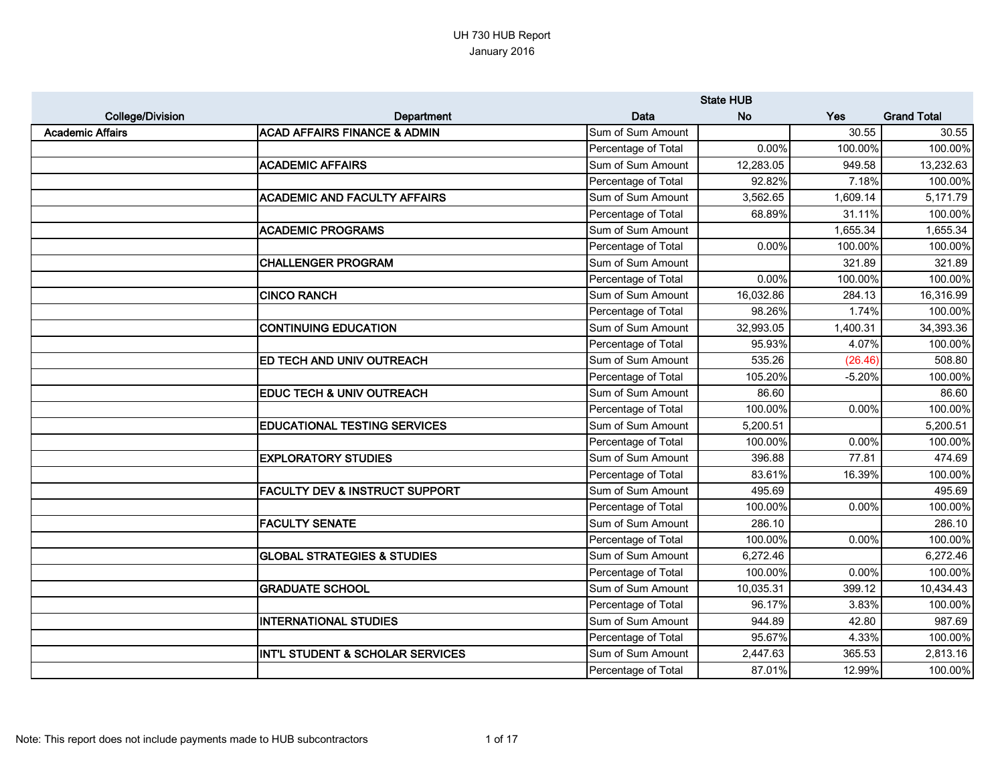|                         |                                             |                     | <b>State HUB</b> |          |                    |
|-------------------------|---------------------------------------------|---------------------|------------------|----------|--------------------|
| <b>College/Division</b> | Department                                  | Data                | <b>No</b>        | Yes      | <b>Grand Total</b> |
| <b>Academic Affairs</b> | <b>ACAD AFFAIRS FINANCE &amp; ADMIN</b>     | Sum of Sum Amount   |                  | 30.55    | 30.55              |
|                         |                                             | Percentage of Total | 0.00%            | 100.00%  | 100.00%            |
|                         | <b>ACADEMIC AFFAIRS</b>                     | Sum of Sum Amount   | 12,283.05        | 949.58   | 13,232.63          |
|                         |                                             | Percentage of Total | 92.82%           | 7.18%    | 100.00%            |
|                         | <b>ACADEMIC AND FACULTY AFFAIRS</b>         | Sum of Sum Amount   | 3,562.65         | 1,609.14 | 5,171.79           |
|                         |                                             | Percentage of Total | 68.89%           | 31.11%   | 100.00%            |
|                         | <b>ACADEMIC PROGRAMS</b>                    | Sum of Sum Amount   |                  | 1,655.34 | 1,655.34           |
|                         |                                             | Percentage of Total | 0.00%            | 100.00%  | 100.00%            |
|                         | <b>CHALLENGER PROGRAM</b>                   | Sum of Sum Amount   |                  | 321.89   | 321.89             |
|                         |                                             | Percentage of Total | 0.00%            | 100.00%  | 100.00%            |
|                         | <b>CINCO RANCH</b>                          | Sum of Sum Amount   | 16,032.86        | 284.13   | 16,316.99          |
|                         |                                             | Percentage of Total | 98.26%           | 1.74%    | 100.00%            |
|                         | <b>CONTINUING EDUCATION</b>                 | Sum of Sum Amount   | 32,993.05        | 1,400.31 | 34,393.36          |
|                         |                                             | Percentage of Total | 95.93%           | 4.07%    | 100.00%            |
|                         | <b>ED TECH AND UNIV OUTREACH</b>            | Sum of Sum Amount   | 535.26           | (26.46)  | 508.80             |
|                         |                                             | Percentage of Total | 105.20%          | $-5.20%$ | 100.00%            |
|                         | <b>EDUC TECH &amp; UNIV OUTREACH</b>        | Sum of Sum Amount   | 86.60            |          | 86.60              |
|                         |                                             | Percentage of Total | 100.00%          | 0.00%    | 100.00%            |
|                         | <b>EDUCATIONAL TESTING SERVICES</b>         | Sum of Sum Amount   | 5,200.51         |          | 5,200.51           |
|                         |                                             | Percentage of Total | 100.00%          | 0.00%    | 100.00%            |
|                         | <b>EXPLORATORY STUDIES</b>                  | Sum of Sum Amount   | 396.88           | 77.81    | 474.69             |
|                         |                                             | Percentage of Total | 83.61%           | 16.39%   | 100.00%            |
|                         | <b>FACULTY DEV &amp; INSTRUCT SUPPORT</b>   | Sum of Sum Amount   | 495.69           |          | 495.69             |
|                         |                                             | Percentage of Total | 100.00%          | 0.00%    | 100.00%            |
|                         | <b>FACULTY SENATE</b>                       | Sum of Sum Amount   | 286.10           |          | 286.10             |
|                         |                                             | Percentage of Total | 100.00%          | 0.00%    | 100.00%            |
|                         | <b>GLOBAL STRATEGIES &amp; STUDIES</b>      | Sum of Sum Amount   | 6,272.46         |          | 6,272.46           |
|                         |                                             | Percentage of Total | 100.00%          | 0.00%    | 100.00%            |
|                         | <b>GRADUATE SCHOOL</b>                      | Sum of Sum Amount   | 10,035.31        | 399.12   | 10,434.43          |
|                         |                                             | Percentage of Total | 96.17%           | 3.83%    | 100.00%            |
|                         | <b>INTERNATIONAL STUDIES</b>                | Sum of Sum Amount   | 944.89           | 42.80    | 987.69             |
|                         |                                             | Percentage of Total | 95.67%           | 4.33%    | 100.00%            |
|                         | <b>INT'L STUDENT &amp; SCHOLAR SERVICES</b> | Sum of Sum Amount   | 2,447.63         | 365.53   | 2,813.16           |
|                         |                                             | Percentage of Total | 87.01%           | 12.99%   | 100.00%            |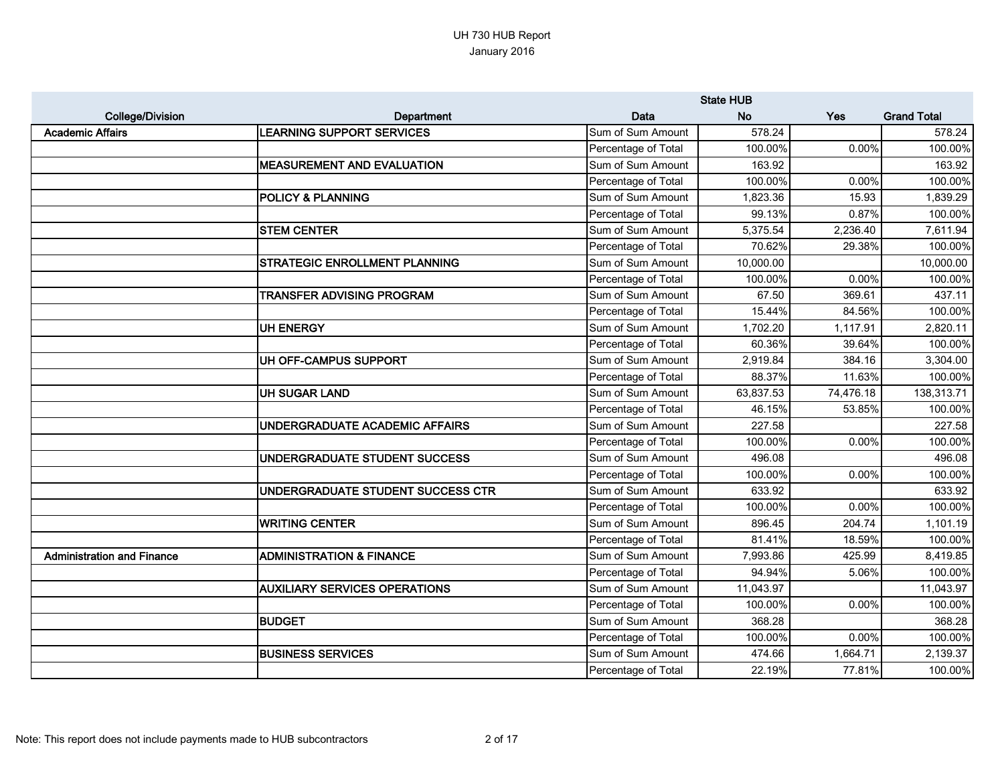|                                   |                                      |                     | <b>State HUB</b> |           |                    |
|-----------------------------------|--------------------------------------|---------------------|------------------|-----------|--------------------|
| <b>College/Division</b>           | Department                           | Data                | <b>No</b>        | Yes       | <b>Grand Total</b> |
| <b>Academic Affairs</b>           | <b>LEARNING SUPPORT SERVICES</b>     | Sum of Sum Amount   | 578.24           |           | 578.24             |
|                                   |                                      | Percentage of Total | 100.00%          | 0.00%     | 100.00%            |
|                                   | <b>MEASUREMENT AND EVALUATION</b>    | Sum of Sum Amount   | 163.92           |           | 163.92             |
|                                   |                                      | Percentage of Total | 100.00%          | 0.00%     | 100.00%            |
|                                   | <b>POLICY &amp; PLANNING</b>         | Sum of Sum Amount   | 1,823.36         | 15.93     | 1,839.29           |
|                                   |                                      | Percentage of Total | 99.13%           | 0.87%     | 100.00%            |
|                                   | <b>STEM CENTER</b>                   | Sum of Sum Amount   | 5,375.54         | 2,236.40  | 7,611.94           |
|                                   |                                      | Percentage of Total | 70.62%           | 29.38%    | 100.00%            |
|                                   | <b>STRATEGIC ENROLLMENT PLANNING</b> | Sum of Sum Amount   | 10,000.00        |           | 10,000.00          |
|                                   |                                      | Percentage of Total | 100.00%          | 0.00%     | 100.00%            |
|                                   | TRANSFER ADVISING PROGRAM            | Sum of Sum Amount   | 67.50            | 369.61    | 437.11             |
|                                   |                                      | Percentage of Total | 15.44%           | 84.56%    | 100.00%            |
|                                   | UH ENERGY                            | Sum of Sum Amount   | 1,702.20         | 1,117.91  | 2,820.11           |
|                                   |                                      | Percentage of Total | 60.36%           | 39.64%    | 100.00%            |
|                                   | UH OFF-CAMPUS SUPPORT                | Sum of Sum Amount   | 2,919.84         | 384.16    | 3,304.00           |
|                                   |                                      | Percentage of Total | 88.37%           | 11.63%    | 100.00%            |
|                                   | <b>UH SUGAR LAND</b>                 | Sum of Sum Amount   | 63,837.53        | 74,476.18 | 138,313.71         |
|                                   |                                      | Percentage of Total | 46.15%           | 53.85%    | 100.00%            |
|                                   | UNDERGRADUATE ACADEMIC AFFAIRS       | Sum of Sum Amount   | 227.58           |           | 227.58             |
|                                   |                                      | Percentage of Total | 100.00%          | 0.00%     | 100.00%            |
|                                   | UNDERGRADUATE STUDENT SUCCESS        | Sum of Sum Amount   | 496.08           |           | 496.08             |
|                                   |                                      | Percentage of Total | 100.00%          | 0.00%     | 100.00%            |
|                                   | UNDERGRADUATE STUDENT SUCCESS CTR    | Sum of Sum Amount   | 633.92           |           | 633.92             |
|                                   |                                      | Percentage of Total | 100.00%          | 0.00%     | 100.00%            |
|                                   | <b>WRITING CENTER</b>                | Sum of Sum Amount   | 896.45           | 204.74    | 1,101.19           |
|                                   |                                      | Percentage of Total | 81.41%           | 18.59%    | 100.00%            |
| <b>Administration and Finance</b> | <b>ADMINISTRATION &amp; FINANCE</b>  | Sum of Sum Amount   | 7,993.86         | 425.99    | 8,419.85           |
|                                   |                                      | Percentage of Total | 94.94%           | 5.06%     | 100.00%            |
|                                   | <b>AUXILIARY SERVICES OPERATIONS</b> | Sum of Sum Amount   | 11,043.97        |           | 11,043.97          |
|                                   |                                      | Percentage of Total | 100.00%          | 0.00%     | 100.00%            |
|                                   | <b>BUDGET</b>                        | Sum of Sum Amount   | 368.28           |           | 368.28             |
|                                   |                                      | Percentage of Total | 100.00%          | 0.00%     | 100.00%            |
|                                   | <b>BUSINESS SERVICES</b>             | Sum of Sum Amount   | 474.66           | 1,664.71  | 2,139.37           |
|                                   |                                      | Percentage of Total | 22.19%           | 77.81%    | 100.00%            |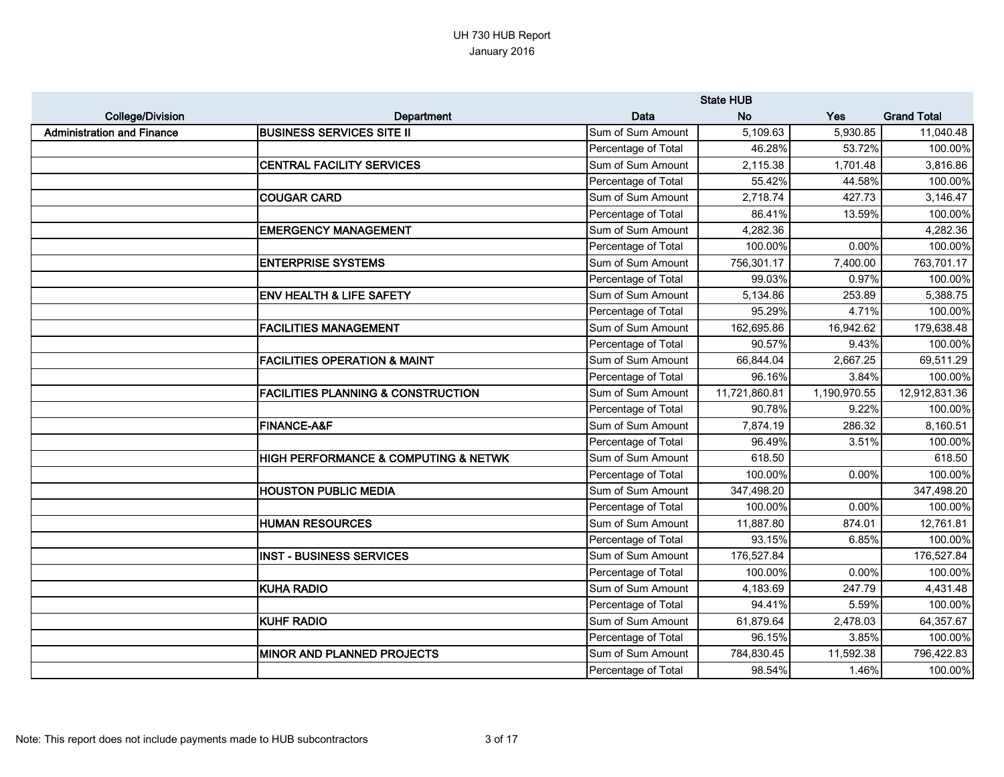|                                   |                                               |                     | <b>State HUB</b> |              |                    |
|-----------------------------------|-----------------------------------------------|---------------------|------------------|--------------|--------------------|
| <b>College/Division</b>           | Department                                    | Data                | <b>No</b>        | Yes          | <b>Grand Total</b> |
| <b>Administration and Finance</b> | <b>BUSINESS SERVICES SITE II</b>              | Sum of Sum Amount   | 5,109.63         | 5,930.85     | 11,040.48          |
|                                   |                                               | Percentage of Total | 46.28%           | 53.72%       | 100.00%            |
|                                   | <b>CENTRAL FACILITY SERVICES</b>              | Sum of Sum Amount   | 2,115.38         | 1,701.48     | 3,816.86           |
|                                   |                                               | Percentage of Total | 55.42%           | 44.58%       | 100.00%            |
|                                   | <b>COUGAR CARD</b>                            | Sum of Sum Amount   | 2,718.74         | 427.73       | 3,146.47           |
|                                   |                                               | Percentage of Total | 86.41%           | 13.59%       | 100.00%            |
|                                   | <b>EMERGENCY MANAGEMENT</b>                   | Sum of Sum Amount   | 4,282.36         |              | 4,282.36           |
|                                   |                                               | Percentage of Total | 100.00%          | 0.00%        | 100.00%            |
|                                   | <b>ENTERPRISE SYSTEMS</b>                     | Sum of Sum Amount   | 756,301.17       | 7,400.00     | 763,701.17         |
|                                   |                                               | Percentage of Total | 99.03%           | 0.97%        | 100.00%            |
|                                   | <b>ENV HEALTH &amp; LIFE SAFETY</b>           | Sum of Sum Amount   | 5,134.86         | 253.89       | 5,388.75           |
|                                   |                                               | Percentage of Total | 95.29%           | 4.71%        | 100.00%            |
|                                   | <b>FACILITIES MANAGEMENT</b>                  | Sum of Sum Amount   | 162,695.86       | 16,942.62    | 179,638.48         |
|                                   |                                               | Percentage of Total | 90.57%           | 9.43%        | 100.00%            |
|                                   | <b>FACILITIES OPERATION &amp; MAINT</b>       | Sum of Sum Amount   | 66,844.04        | 2,667.25     | 69,511.29          |
|                                   |                                               | Percentage of Total | 96.16%           | 3.84%        | 100.00%            |
|                                   | <b>FACILITIES PLANNING &amp; CONSTRUCTION</b> | Sum of Sum Amount   | 11,721,860.81    | 1,190,970.55 | 12,912,831.36      |
|                                   |                                               | Percentage of Total | 90.78%           | 9.22%        | 100.00%            |
|                                   | <b>FINANCE-A&amp;F</b>                        | Sum of Sum Amount   | 7,874.19         | 286.32       | 8,160.51           |
|                                   |                                               | Percentage of Total | 96.49%           | 3.51%        | 100.00%            |
|                                   | HIGH PERFORMANCE & COMPUTING & NETWK          | Sum of Sum Amount   | 618.50           |              | 618.50             |
|                                   |                                               | Percentage of Total | 100.00%          | 0.00%        | 100.00%            |
|                                   | <b>HOUSTON PUBLIC MEDIA</b>                   | Sum of Sum Amount   | 347,498.20       |              | 347,498.20         |
|                                   |                                               | Percentage of Total | 100.00%          | 0.00%        | 100.00%            |
|                                   | <b>HUMAN RESOURCES</b>                        | Sum of Sum Amount   | 11,887.80        | 874.01       | 12,761.81          |
|                                   |                                               | Percentage of Total | 93.15%           | 6.85%        | 100.00%            |
|                                   | <b>INST - BUSINESS SERVICES</b>               | Sum of Sum Amount   | 176,527.84       |              | 176,527.84         |
|                                   |                                               | Percentage of Total | 100.00%          | 0.00%        | 100.00%            |
|                                   | <b>KUHA RADIO</b>                             | Sum of Sum Amount   | 4,183.69         | 247.79       | 4,431.48           |
|                                   |                                               | Percentage of Total | 94.41%           | 5.59%        | 100.00%            |
|                                   | <b>KUHF RADIO</b>                             | Sum of Sum Amount   | 61,879.64        | 2,478.03     | 64,357.67          |
|                                   |                                               | Percentage of Total | 96.15%           | 3.85%        | 100.00%            |
|                                   | <b>MINOR AND PLANNED PROJECTS</b>             | Sum of Sum Amount   | 784,830.45       | 11,592.38    | 796,422.83         |
|                                   |                                               | Percentage of Total | 98.54%           | 1.46%        | 100.00%            |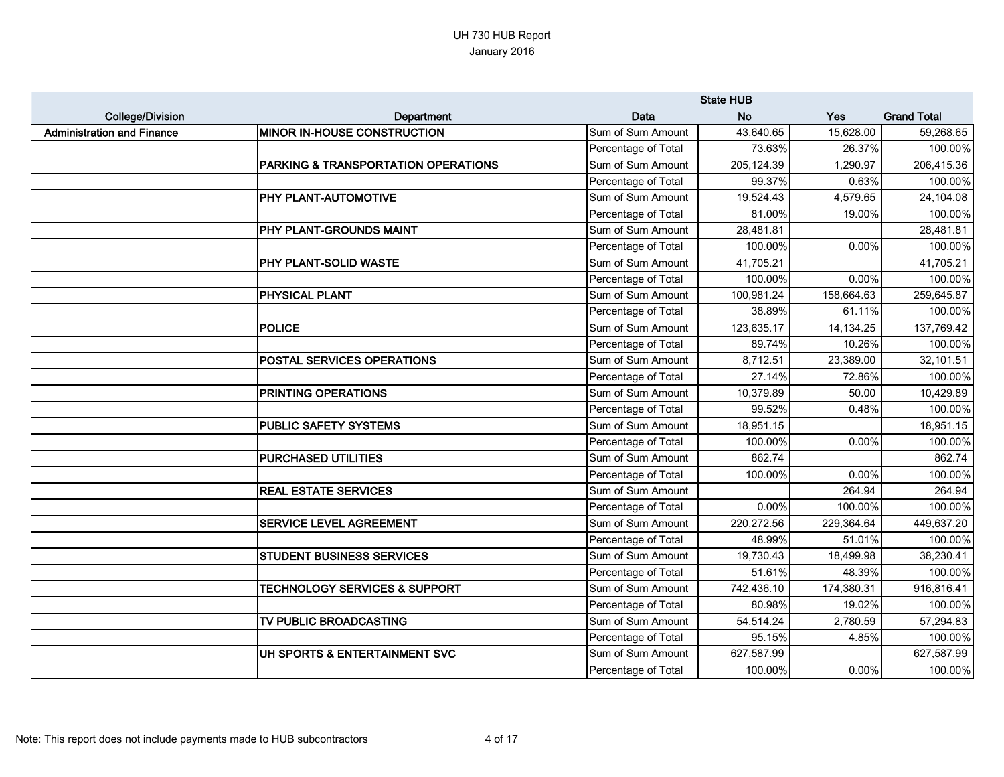|                                   |                                          |                     | <b>State HUB</b> |            |                    |
|-----------------------------------|------------------------------------------|---------------------|------------------|------------|--------------------|
| <b>College/Division</b>           | Department                               | Data                | <b>No</b>        | Yes        | <b>Grand Total</b> |
| <b>Administration and Finance</b> | <b>MINOR IN-HOUSE CONSTRUCTION</b>       | Sum of Sum Amount   | 43,640.65        | 15,628.00  | 59,268.65          |
|                                   |                                          | Percentage of Total | 73.63%           | 26.37%     | 100.00%            |
|                                   | PARKING & TRANSPORTATION OPERATIONS      | Sum of Sum Amount   | 205,124.39       | 1,290.97   | 206,415.36         |
|                                   |                                          | Percentage of Total | 99.37%           | 0.63%      | 100.00%            |
|                                   | PHY PLANT-AUTOMOTIVE                     | Sum of Sum Amount   | 19,524.43        | 4,579.65   | 24,104.08          |
|                                   |                                          | Percentage of Total | 81.00%           | 19.00%     | 100.00%            |
|                                   | PHY PLANT-GROUNDS MAINT                  | Sum of Sum Amount   | 28,481.81        |            | 28,481.81          |
|                                   |                                          | Percentage of Total | 100.00%          | 0.00%      | 100.00%            |
|                                   | PHY PLANT-SOLID WASTE                    | Sum of Sum Amount   | 41,705.21        |            | 41,705.21          |
|                                   |                                          | Percentage of Total | 100.00%          | 0.00%      | 100.00%            |
|                                   | <b>PHYSICAL PLANT</b>                    | Sum of Sum Amount   | 100,981.24       | 158,664.63 | 259,645.87         |
|                                   |                                          | Percentage of Total | 38.89%           | 61.11%     | 100.00%            |
|                                   | <b>POLICE</b>                            | Sum of Sum Amount   | 123,635.17       | 14,134.25  | 137,769.42         |
|                                   |                                          | Percentage of Total | 89.74%           | 10.26%     | 100.00%            |
|                                   | POSTAL SERVICES OPERATIONS               | Sum of Sum Amount   | 8,712.51         | 23,389.00  | 32,101.51          |
|                                   |                                          | Percentage of Total | 27.14%           | 72.86%     | 100.00%            |
|                                   | <b>PRINTING OPERATIONS</b>               | Sum of Sum Amount   | 10,379.89        | 50.00      | 10,429.89          |
|                                   |                                          | Percentage of Total | 99.52%           | 0.48%      | 100.00%            |
|                                   | <b>PUBLIC SAFETY SYSTEMS</b>             | Sum of Sum Amount   | 18,951.15        |            | 18,951.15          |
|                                   |                                          | Percentage of Total | 100.00%          | 0.00%      | 100.00%            |
|                                   | <b>PURCHASED UTILITIES</b>               | Sum of Sum Amount   | 862.74           |            | 862.74             |
|                                   |                                          | Percentage of Total | 100.00%          | 0.00%      | 100.00%            |
|                                   | <b>REAL ESTATE SERVICES</b>              | Sum of Sum Amount   |                  | 264.94     | 264.94             |
|                                   |                                          | Percentage of Total | 0.00%            | 100.00%    | 100.00%            |
|                                   | <b>SERVICE LEVEL AGREEMENT</b>           | Sum of Sum Amount   | 220,272.56       | 229,364.64 | 449,637.20         |
|                                   |                                          | Percentage of Total | 48.99%           | 51.01%     | 100.00%            |
|                                   | <b>STUDENT BUSINESS SERVICES</b>         | Sum of Sum Amount   | 19,730.43        | 18,499.98  | 38,230.41          |
|                                   |                                          | Percentage of Total | 51.61%           | 48.39%     | 100.00%            |
|                                   | <b>TECHNOLOGY SERVICES &amp; SUPPORT</b> | Sum of Sum Amount   | 742,436.10       | 174,380.31 | 916,816.41         |
|                                   |                                          | Percentage of Total | 80.98%           | 19.02%     | 100.00%            |
|                                   | TV PUBLIC BROADCASTING                   | Sum of Sum Amount   | 54,514.24        | 2,780.59   | 57,294.83          |
|                                   |                                          | Percentage of Total | 95.15%           | 4.85%      | 100.00%            |
|                                   | UH SPORTS & ENTERTAINMENT SVC            | Sum of Sum Amount   | 627,587.99       |            | 627,587.99         |
|                                   |                                          | Percentage of Total | 100.00%          | 0.00%      | 100.00%            |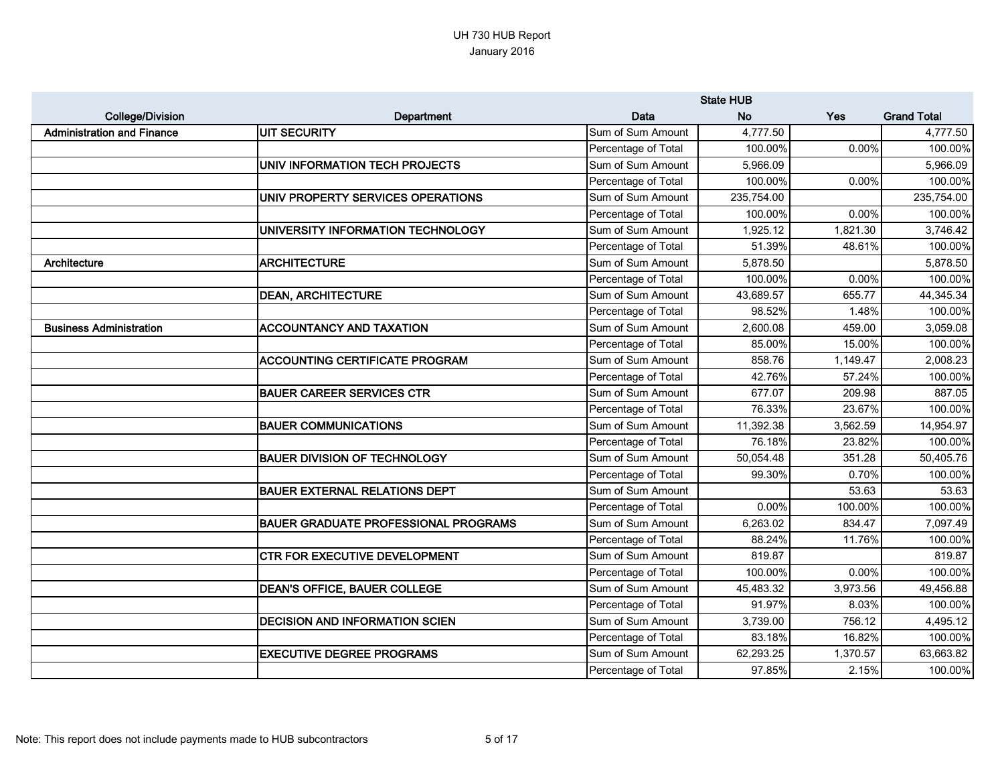|                                   |                                             |                     | <b>State HUB</b> |          |                    |
|-----------------------------------|---------------------------------------------|---------------------|------------------|----------|--------------------|
| <b>College/Division</b>           | Department                                  | Data                | <b>No</b>        | Yes      | <b>Grand Total</b> |
| <b>Administration and Finance</b> | UIT SECURITY                                | Sum of Sum Amount   | 4,777.50         |          | 4,777.50           |
|                                   |                                             | Percentage of Total | 100.00%          | 0.00%    | 100.00%            |
|                                   | UNIV INFORMATION TECH PROJECTS              | Sum of Sum Amount   | 5,966.09         |          | 5,966.09           |
|                                   |                                             | Percentage of Total | 100.00%          | 0.00%    | 100.00%            |
|                                   | UNIV PROPERTY SERVICES OPERATIONS           | Sum of Sum Amount   | 235,754.00       |          | 235,754.00         |
|                                   |                                             | Percentage of Total | 100.00%          | 0.00%    | 100.00%            |
|                                   | UNIVERSITY INFORMATION TECHNOLOGY           | Sum of Sum Amount   | 1,925.12         | 1,821.30 | 3,746.42           |
|                                   |                                             | Percentage of Total | 51.39%           | 48.61%   | 100.00%            |
| Architecture                      | <b>ARCHITECTURE</b>                         | Sum of Sum Amount   | 5,878.50         |          | 5,878.50           |
|                                   |                                             | Percentage of Total | 100.00%          | 0.00%    | 100.00%            |
|                                   | <b>DEAN, ARCHITECTURE</b>                   | Sum of Sum Amount   | 43,689.57        | 655.77   | 44,345.34          |
|                                   |                                             | Percentage of Total | 98.52%           | 1.48%    | 100.00%            |
| <b>Business Administration</b>    | <b>ACCOUNTANCY AND TAXATION</b>             | Sum of Sum Amount   | 2,600.08         | 459.00   | 3,059.08           |
|                                   |                                             | Percentage of Total | 85.00%           | 15.00%   | 100.00%            |
|                                   | <b>ACCOUNTING CERTIFICATE PROGRAM</b>       | Sum of Sum Amount   | 858.76           | 1,149.47 | 2,008.23           |
|                                   |                                             | Percentage of Total | 42.76%           | 57.24%   | 100.00%            |
|                                   | <b>BAUER CAREER SERVICES CTR</b>            | Sum of Sum Amount   | 677.07           | 209.98   | 887.05             |
|                                   |                                             | Percentage of Total | 76.33%           | 23.67%   | 100.00%            |
|                                   | <b>BAUER COMMUNICATIONS</b>                 | Sum of Sum Amount   | 11,392.38        | 3,562.59 | 14,954.97          |
|                                   |                                             | Percentage of Total | 76.18%           | 23.82%   | 100.00%            |
|                                   | <b>BAUER DIVISION OF TECHNOLOGY</b>         | Sum of Sum Amount   | 50,054.48        | 351.28   | 50,405.76          |
|                                   |                                             | Percentage of Total | 99.30%           | 0.70%    | 100.00%            |
|                                   | <b>BAUER EXTERNAL RELATIONS DEPT</b>        | Sum of Sum Amount   |                  | 53.63    | 53.63              |
|                                   |                                             | Percentage of Total | 0.00%            | 100.00%  | 100.00%            |
|                                   | <b>BAUER GRADUATE PROFESSIONAL PROGRAMS</b> | Sum of Sum Amount   | 6,263.02         | 834.47   | 7,097.49           |
|                                   |                                             | Percentage of Total | 88.24%           | 11.76%   | 100.00%            |
|                                   | <b>CTR FOR EXECUTIVE DEVELOPMENT</b>        | Sum of Sum Amount   | 819.87           |          | 819.87             |
|                                   |                                             | Percentage of Total | 100.00%          | 0.00%    | 100.00%            |
|                                   | <b>DEAN'S OFFICE, BAUER COLLEGE</b>         | Sum of Sum Amount   | 45,483.32        | 3,973.56 | 49,456.88          |
|                                   |                                             | Percentage of Total | 91.97%           | 8.03%    | 100.00%            |
|                                   | <b>DECISION AND INFORMATION SCIEN</b>       | Sum of Sum Amount   | 3,739.00         | 756.12   | 4,495.12           |
|                                   |                                             | Percentage of Total | 83.18%           | 16.82%   | 100.00%            |
|                                   | <b>EXECUTIVE DEGREE PROGRAMS</b>            | Sum of Sum Amount   | 62,293.25        | 1,370.57 | 63,663.82          |
|                                   |                                             | Percentage of Total | 97.85%           | 2.15%    | 100.00%            |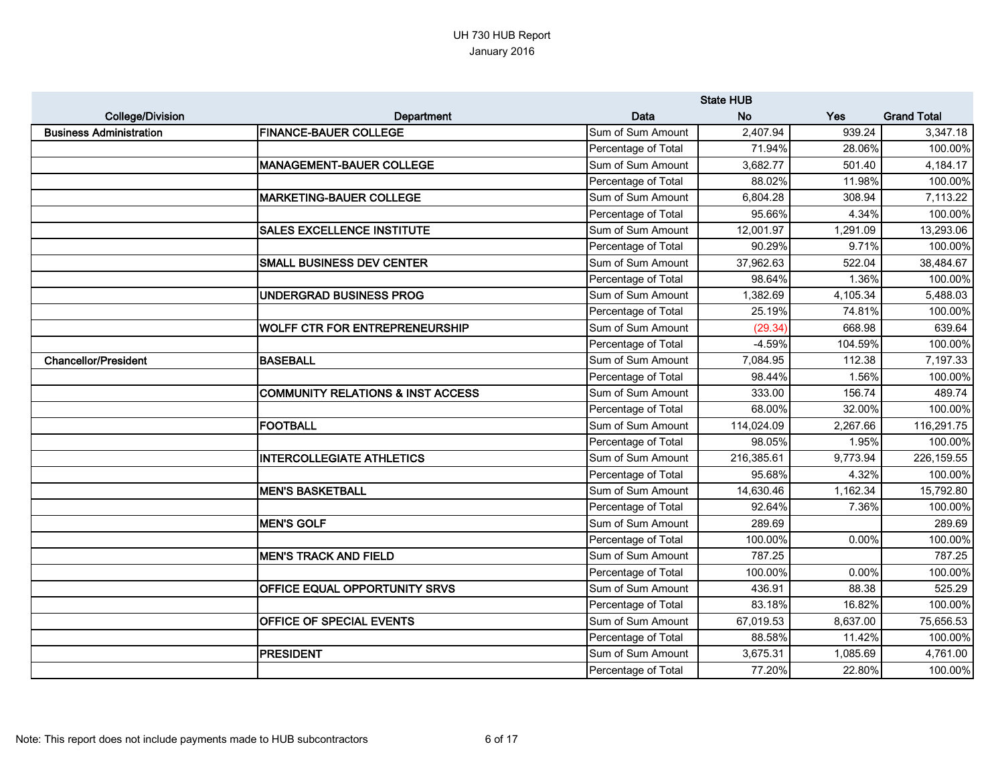|                                |                                       |                     | <b>State HUB</b> |            |                    |
|--------------------------------|---------------------------------------|---------------------|------------------|------------|--------------------|
| <b>College/Division</b>        | <b>Department</b>                     | Data                | <b>No</b>        | <b>Yes</b> | <b>Grand Total</b> |
| <b>Business Administration</b> | <b>FINANCE-BAUER COLLEGE</b>          | Sum of Sum Amount   | 2,407.94         | 939.24     | 3,347.18           |
|                                |                                       | Percentage of Total | 71.94%           | 28.06%     | 100.00%            |
|                                | <b>MANAGEMENT-BAUER COLLEGE</b>       | Sum of Sum Amount   | 3,682.77         | 501.40     | 4,184.17           |
|                                |                                       | Percentage of Total | 88.02%           | 11.98%     | 100.00%            |
|                                | <b>MARKETING-BAUER COLLEGE</b>        | Sum of Sum Amount   | 6,804.28         | 308.94     | 7,113.22           |
|                                |                                       | Percentage of Total | 95.66%           | 4.34%      | 100.00%            |
|                                | <b>SALES EXCELLENCE INSTITUTE</b>     | Sum of Sum Amount   | 12,001.97        | 1,291.09   | 13,293.06          |
|                                |                                       | Percentage of Total | 90.29%           | 9.71%      | 100.00%            |
|                                | <b>SMALL BUSINESS DEV CENTER</b>      | Sum of Sum Amount   | 37,962.63        | 522.04     | 38,484.67          |
|                                |                                       | Percentage of Total | 98.64%           | 1.36%      | 100.00%            |
|                                | UNDERGRAD BUSINESS PROG               | Sum of Sum Amount   | 1,382.69         | 4,105.34   | 5,488.03           |
|                                |                                       | Percentage of Total | 25.19%           | 74.81%     | 100.00%            |
|                                | <b>WOLFF CTR FOR ENTREPRENEURSHIP</b> | Sum of Sum Amount   | (29.34)          | 668.98     | 639.64             |
|                                |                                       | Percentage of Total | $-4.59%$         | 104.59%    | 100.00%            |
| <b>Chancellor/President</b>    | <b>BASEBALL</b>                       | Sum of Sum Amount   | 7,084.95         | 112.38     | 7,197.33           |
|                                |                                       | Percentage of Total | 98.44%           | 1.56%      | 100.00%            |
|                                | COMMUNITY RELATIONS & INST ACCESS     | Sum of Sum Amount   | 333.00           | 156.74     | 489.74             |
|                                |                                       | Percentage of Total | 68.00%           | 32.00%     | 100.00%            |
|                                | <b>FOOTBALL</b>                       | Sum of Sum Amount   | 114,024.09       | 2,267.66   | 116,291.75         |
|                                |                                       | Percentage of Total | 98.05%           | 1.95%      | 100.00%            |
|                                | <b>INTERCOLLEGIATE ATHLETICS</b>      | Sum of Sum Amount   | 216,385.61       | 9,773.94   | 226,159.55         |
|                                |                                       | Percentage of Total | 95.68%           | 4.32%      | 100.00%            |
|                                | <b>MEN'S BASKETBALL</b>               | Sum of Sum Amount   | 14,630.46        | 1,162.34   | 15,792.80          |
|                                |                                       | Percentage of Total | 92.64%           | 7.36%      | 100.00%            |
|                                | <b>MEN'S GOLF</b>                     | Sum of Sum Amount   | 289.69           |            | 289.69             |
|                                |                                       | Percentage of Total | 100.00%          | 0.00%      | 100.00%            |
|                                | <b>MEN'S TRACK AND FIELD</b>          | Sum of Sum Amount   | 787.25           |            | 787.25             |
|                                |                                       | Percentage of Total | 100.00%          | 0.00%      | 100.00%            |
|                                | <b>OFFICE EQUAL OPPORTUNITY SRVS</b>  | Sum of Sum Amount   | 436.91           | 88.38      | 525.29             |
|                                |                                       | Percentage of Total | 83.18%           | 16.82%     | 100.00%            |
|                                | <b>OFFICE OF SPECIAL EVENTS</b>       | Sum of Sum Amount   | 67,019.53        | 8,637.00   | 75,656.53          |
|                                |                                       | Percentage of Total | 88.58%           | 11.42%     | 100.00%            |
|                                | <b>PRESIDENT</b>                      | Sum of Sum Amount   | 3,675.31         | 1,085.69   | 4,761.00           |
|                                |                                       | Percentage of Total | 77.20%           | 22.80%     | 100.00%            |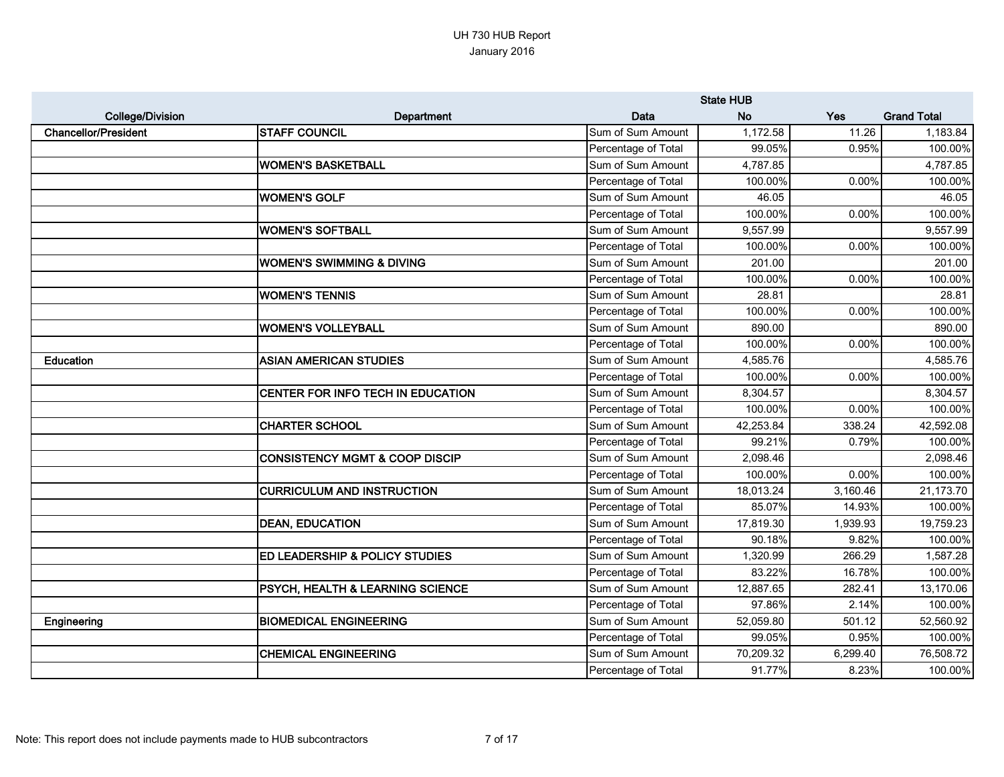|                             |                                             |                     | <b>State HUB</b> |            |                    |
|-----------------------------|---------------------------------------------|---------------------|------------------|------------|--------------------|
| <b>College/Division</b>     | Department                                  | Data                | <b>No</b>        | <b>Yes</b> | <b>Grand Total</b> |
| <b>Chancellor/President</b> | <b>STAFF COUNCIL</b>                        | Sum of Sum Amount   | 1,172.58         | 11.26      | 1,183.84           |
|                             |                                             | Percentage of Total | 99.05%           | 0.95%      | 100.00%            |
|                             | <b>WOMEN'S BASKETBALL</b>                   | Sum of Sum Amount   | 4,787.85         |            | 4,787.85           |
|                             |                                             | Percentage of Total | 100.00%          | 0.00%      | 100.00%            |
|                             | <b>WOMEN'S GOLF</b>                         | Sum of Sum Amount   | 46.05            |            | 46.05              |
|                             |                                             | Percentage of Total | 100.00%          | 0.00%      | 100.00%            |
|                             | <b>WOMEN'S SOFTBALL</b>                     | Sum of Sum Amount   | 9,557.99         |            | 9,557.99           |
|                             |                                             | Percentage of Total | 100.00%          | 0.00%      | 100.00%            |
|                             | <b>WOMEN'S SWIMMING &amp; DIVING</b>        | Sum of Sum Amount   | 201.00           |            | 201.00             |
|                             |                                             | Percentage of Total | 100.00%          | 0.00%      | 100.00%            |
|                             | <b>WOMEN'S TENNIS</b>                       | Sum of Sum Amount   | 28.81            |            | 28.81              |
|                             |                                             | Percentage of Total | 100.00%          | 0.00%      | 100.00%            |
|                             | <b>WOMEN'S VOLLEYBALL</b>                   | Sum of Sum Amount   | 890.00           |            | 890.00             |
|                             |                                             | Percentage of Total | 100.00%          | 0.00%      | 100.00%            |
| <b>Education</b>            | <b>ASIAN AMERICAN STUDIES</b>               | Sum of Sum Amount   | 4,585.76         |            | 4,585.76           |
|                             |                                             | Percentage of Total | 100.00%          | 0.00%      | 100.00%            |
|                             | CENTER FOR INFO TECH IN EDUCATION           | Sum of Sum Amount   | 8,304.57         |            | 8,304.57           |
|                             |                                             | Percentage of Total | 100.00%          | 0.00%      | 100.00%            |
|                             | <b>CHARTER SCHOOL</b>                       | Sum of Sum Amount   | 42,253.84        | 338.24     | 42,592.08          |
|                             |                                             | Percentage of Total | 99.21%           | 0.79%      | 100.00%            |
|                             | <b>CONSISTENCY MGMT &amp; COOP DISCIP</b>   | Sum of Sum Amount   | 2,098.46         |            | 2,098.46           |
|                             |                                             | Percentage of Total | 100.00%          | 0.00%      | 100.00%            |
|                             | <b>CURRICULUM AND INSTRUCTION</b>           | Sum of Sum Amount   | 18,013.24        | 3,160.46   | 21,173.70          |
|                             |                                             | Percentage of Total | 85.07%           | 14.93%     | 100.00%            |
|                             | <b>DEAN, EDUCATION</b>                      | Sum of Sum Amount   | 17,819.30        | 1,939.93   | 19,759.23          |
|                             |                                             | Percentage of Total | 90.18%           | 9.82%      | 100.00%            |
|                             | <b>ED LEADERSHIP &amp; POLICY STUDIES</b>   | Sum of Sum Amount   | 1,320.99         | 266.29     | 1,587.28           |
|                             |                                             | Percentage of Total | 83.22%           | 16.78%     | 100.00%            |
|                             | <b>PSYCH, HEALTH &amp; LEARNING SCIENCE</b> | Sum of Sum Amount   | 12,887.65        | 282.41     | 13,170.06          |
|                             |                                             | Percentage of Total | 97.86%           | 2.14%      | 100.00%            |
| Engineering                 | <b>BIOMEDICAL ENGINEERING</b>               | Sum of Sum Amount   | 52,059.80        | 501.12     | 52,560.92          |
|                             |                                             | Percentage of Total | 99.05%           | 0.95%      | 100.00%            |
|                             | <b>CHEMICAL ENGINEERING</b>                 | Sum of Sum Amount   | 70,209.32        | 6,299.40   | 76,508.72          |
|                             |                                             | Percentage of Total | 91.77%           | 8.23%      | 100.00%            |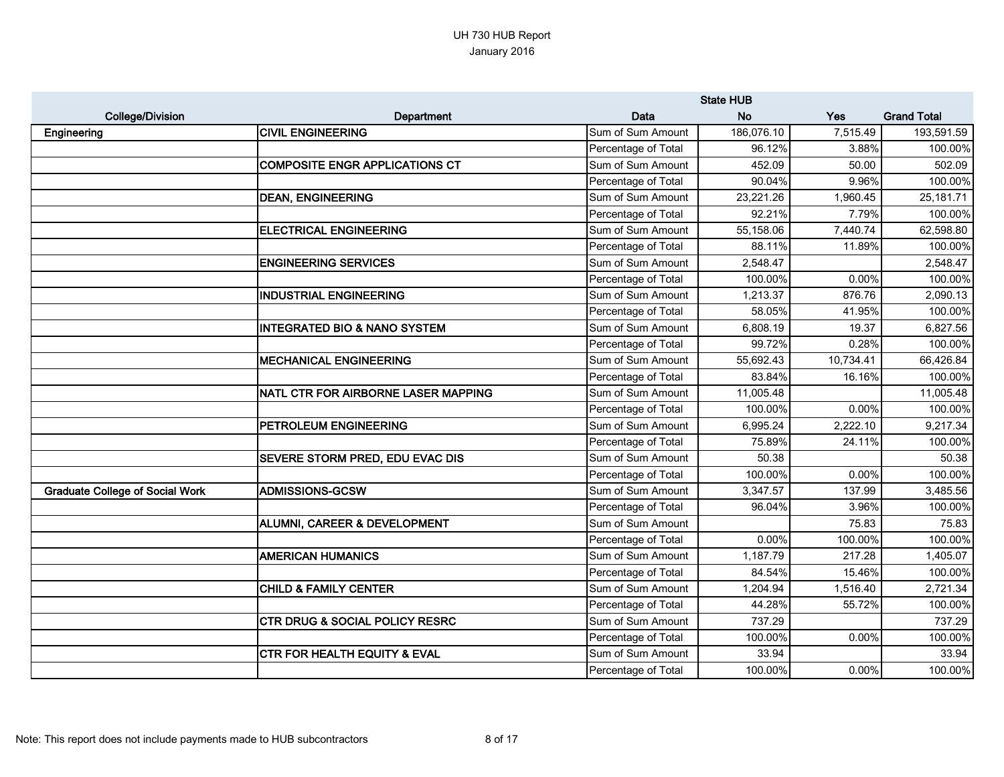|                                        |                                         |                     | <b>State HUB</b> |           |                    |
|----------------------------------------|-----------------------------------------|---------------------|------------------|-----------|--------------------|
| <b>College/Division</b>                | Department                              | Data                | <b>No</b>        | Yes       | <b>Grand Total</b> |
| Engineering                            | <b>CIVIL ENGINEERING</b>                | Sum of Sum Amount   | 186,076.10       | 7,515.49  | 193,591.59         |
|                                        |                                         | Percentage of Total | 96.12%           | 3.88%     | 100.00%            |
|                                        | <b>COMPOSITE ENGR APPLICATIONS CT</b>   | Sum of Sum Amount   | 452.09           | 50.00     | 502.09             |
|                                        |                                         | Percentage of Total | 90.04%           | 9.96%     | 100.00%            |
|                                        | <b>DEAN, ENGINEERING</b>                | Sum of Sum Amount   | 23,221.26        | 1,960.45  | 25,181.71          |
|                                        |                                         | Percentage of Total | 92.21%           | 7.79%     | 100.00%            |
|                                        | <b>ELECTRICAL ENGINEERING</b>           | Sum of Sum Amount   | 55,158.06        | 7,440.74  | 62,598.80          |
|                                        |                                         | Percentage of Total | 88.11%           | 11.89%    | 100.00%            |
|                                        | <b>ENGINEERING SERVICES</b>             | Sum of Sum Amount   | 2,548.47         |           | 2,548.47           |
|                                        |                                         | Percentage of Total | 100.00%          | 0.00%     | 100.00%            |
|                                        | <b>INDUSTRIAL ENGINEERING</b>           | Sum of Sum Amount   | 1,213.37         | 876.76    | 2,090.13           |
|                                        |                                         | Percentage of Total | 58.05%           | 41.95%    | 100.00%            |
|                                        | <b>INTEGRATED BIO &amp; NANO SYSTEM</b> | Sum of Sum Amount   | 6,808.19         | 19.37     | 6,827.56           |
|                                        |                                         | Percentage of Total | 99.72%           | 0.28%     | 100.00%            |
|                                        | <b>MECHANICAL ENGINEERING</b>           | Sum of Sum Amount   | 55,692.43        | 10,734.41 | 66,426.84          |
|                                        |                                         | Percentage of Total | 83.84%           | 16.16%    | 100.00%            |
|                                        | NATL CTR FOR AIRBORNE LASER MAPPING     | Sum of Sum Amount   | 11,005.48        |           | 11,005.48          |
|                                        |                                         | Percentage of Total | 100.00%          | 0.00%     | 100.00%            |
|                                        | PETROLEUM ENGINEERING                   | Sum of Sum Amount   | 6,995.24         | 2,222.10  | 9,217.34           |
|                                        |                                         | Percentage of Total | 75.89%           | 24.11%    | 100.00%            |
|                                        | SEVERE STORM PRED, EDU EVAC DIS         | Sum of Sum Amount   | 50.38            |           | 50.38              |
|                                        |                                         | Percentage of Total | 100.00%          | 0.00%     | 100.00%            |
| <b>Graduate College of Social Work</b> | <b>ADMISSIONS-GCSW</b>                  | Sum of Sum Amount   | 3,347.57         | 137.99    | 3,485.56           |
|                                        |                                         | Percentage of Total | 96.04%           | 3.96%     | 100.00%            |
|                                        | ALUMNI, CAREER & DEVELOPMENT            | Sum of Sum Amount   |                  | 75.83     | 75.83              |
|                                        |                                         | Percentage of Total | 0.00%            | 100.00%   | 100.00%            |
|                                        | <b>AMERICAN HUMANICS</b>                | Sum of Sum Amount   | 1,187.79         | 217.28    | 1,405.07           |
|                                        |                                         | Percentage of Total | 84.54%           | 15.46%    | 100.00%            |
|                                        | <b>CHILD &amp; FAMILY CENTER</b>        | Sum of Sum Amount   | 1,204.94         | 1,516.40  | 2,721.34           |
|                                        |                                         | Percentage of Total | 44.28%           | 55.72%    | 100.00%            |
|                                        | CTR DRUG & SOCIAL POLICY RESRC          | Sum of Sum Amount   | 737.29           |           | 737.29             |
|                                        |                                         | Percentage of Total | 100.00%          | 0.00%     | 100.00%            |
|                                        | <b>CTR FOR HEALTH EQUITY &amp; EVAL</b> | Sum of Sum Amount   | 33.94            |           | 33.94              |
|                                        |                                         | Percentage of Total | 100.00%          | 0.00%     | 100.00%            |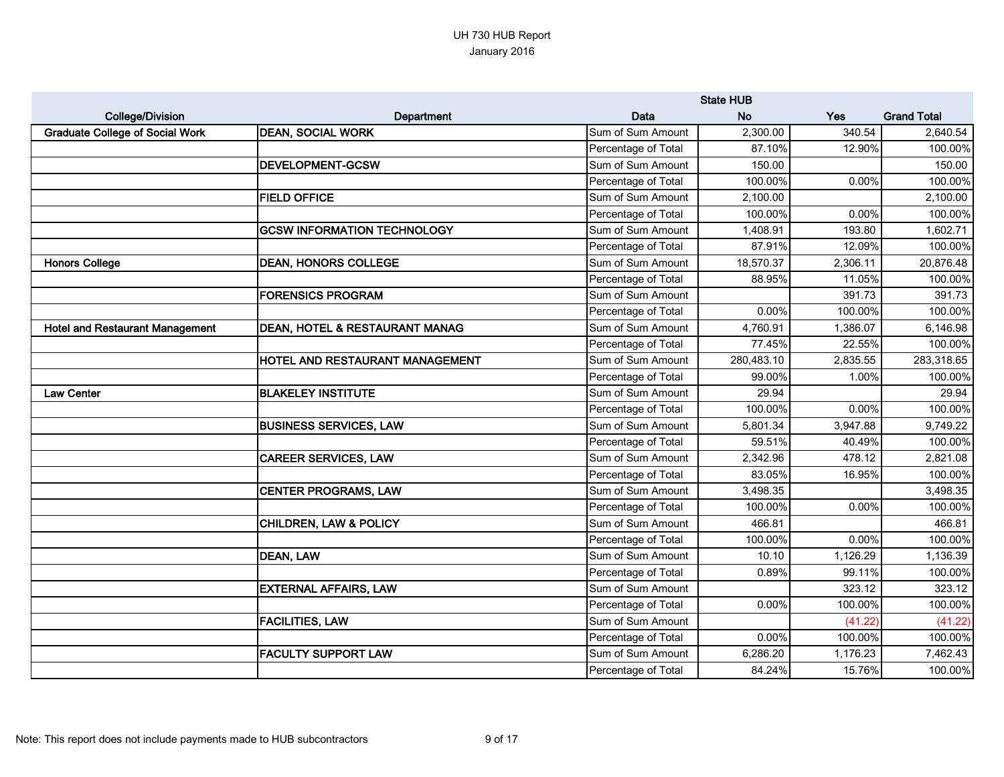|                                        |                                        |                     | <b>State HUB</b> |          |                    |
|----------------------------------------|----------------------------------------|---------------------|------------------|----------|--------------------|
| <b>College/Division</b>                | Department                             | Data                | <b>No</b>        | Yes      | <b>Grand Total</b> |
| <b>Graduate College of Social Work</b> | <b>DEAN, SOCIAL WORK</b>               | Sum of Sum Amount   | 2,300.00         | 340.54   | 2,640.54           |
|                                        |                                        | Percentage of Total | 87.10%           | 12.90%   | 100.00%            |
|                                        | <b>DEVELOPMENT-GCSW</b>                | Sum of Sum Amount   | 150.00           |          | 150.00             |
|                                        |                                        | Percentage of Total | 100.00%          | 0.00%    | 100.00%            |
|                                        | <b>FIELD OFFICE</b>                    | Sum of Sum Amount   | 2,100.00         |          | 2,100.00           |
|                                        |                                        | Percentage of Total | 100.00%          | 0.00%    | 100.00%            |
|                                        | <b>GCSW INFORMATION TECHNOLOGY</b>     | Sum of Sum Amount   | 1,408.91         | 193.80   | 1,602.71           |
|                                        |                                        | Percentage of Total | 87.91%           | 12.09%   | 100.00%            |
| <b>Honors College</b>                  | <b>DEAN, HONORS COLLEGE</b>            | Sum of Sum Amount   | 18,570.37        | 2,306.11 | 20,876.48          |
|                                        |                                        | Percentage of Total | 88.95%           | 11.05%   | 100.00%            |
|                                        | <b>FORENSICS PROGRAM</b>               | Sum of Sum Amount   |                  | 391.73   | 391.73             |
|                                        |                                        | Percentage of Total | 0.00%            | 100.00%  | 100.00%            |
| <b>Hotel and Restaurant Management</b> | DEAN, HOTEL & RESTAURANT MANAG         | Sum of Sum Amount   | 4,760.91         | 1,386.07 | 6,146.98           |
|                                        |                                        | Percentage of Total | 77.45%           | 22.55%   | 100.00%            |
|                                        | <b>HOTEL AND RESTAURANT MANAGEMENT</b> | Sum of Sum Amount   | 280,483.10       | 2,835.55 | 283,318.65         |
|                                        |                                        | Percentage of Total | 99.00%           | 1.00%    | 100.00%            |
| <b>Law Center</b>                      | <b>BLAKELEY INSTITUTE</b>              | Sum of Sum Amount   | 29.94            |          | 29.94              |
|                                        |                                        | Percentage of Total | 100.00%          | 0.00%    | 100.00%            |
|                                        | <b>BUSINESS SERVICES, LAW</b>          | Sum of Sum Amount   | 5,801.34         | 3,947.88 | 9,749.22           |
|                                        |                                        | Percentage of Total | 59.51%           | 40.49%   | 100.00%            |
|                                        | <b>CAREER SERVICES, LAW</b>            | Sum of Sum Amount   | 2,342.96         | 478.12   | 2,821.08           |
|                                        |                                        | Percentage of Total | 83.05%           | 16.95%   | 100.00%            |
|                                        | <b>CENTER PROGRAMS, LAW</b>            | Sum of Sum Amount   | 3,498.35         |          | 3,498.35           |
|                                        |                                        | Percentage of Total | 100.00%          | 0.00%    | 100.00%            |
|                                        | <b>CHILDREN, LAW &amp; POLICY</b>      | Sum of Sum Amount   | 466.81           |          | 466.81             |
|                                        |                                        | Percentage of Total | 100.00%          | 0.00%    | 100.00%            |
|                                        | <b>DEAN, LAW</b>                       | Sum of Sum Amount   | 10.10            | 1,126.29 | 1,136.39           |
|                                        |                                        | Percentage of Total | 0.89%            | 99.11%   | 100.00%            |
|                                        | <b>EXTERNAL AFFAIRS, LAW</b>           | Sum of Sum Amount   |                  | 323.12   | 323.12             |
|                                        |                                        | Percentage of Total | 0.00%            | 100.00%  | 100.00%            |
|                                        | <b>FACILITIES, LAW</b>                 | Sum of Sum Amount   |                  | (41.22)  | (41.22)            |
|                                        |                                        | Percentage of Total | 0.00%            | 100.00%  | 100.00%            |
|                                        | <b>FACULTY SUPPORT LAW</b>             | Sum of Sum Amount   | 6,286.20         | 1,176.23 | 7,462.43           |
|                                        |                                        | Percentage of Total | 84.24%           | 15.76%   | 100.00%            |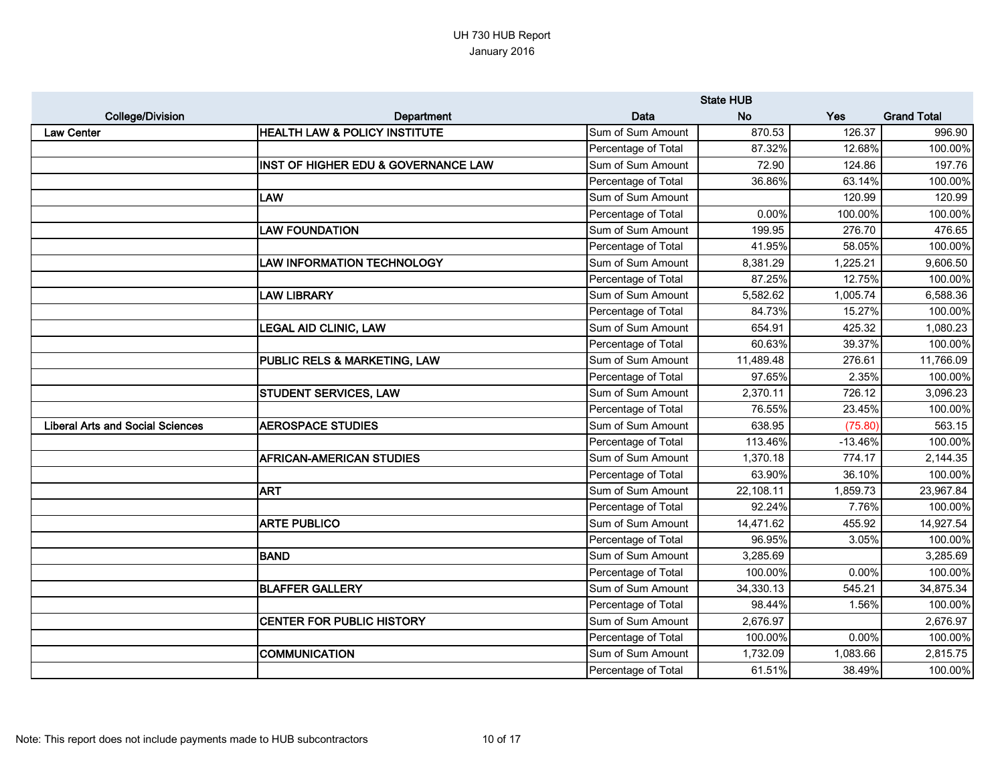|                                         |                                          |                     | <b>State HUB</b> |           |                    |
|-----------------------------------------|------------------------------------------|---------------------|------------------|-----------|--------------------|
| <b>College/Division</b>                 | <b>Department</b>                        | Data                | <b>No</b>        | Yes       | <b>Grand Total</b> |
| <b>Law Center</b>                       | <b>HEALTH LAW &amp; POLICY INSTITUTE</b> | Sum of Sum Amount   | 870.53           | 126.37    | 996.90             |
|                                         |                                          | Percentage of Total | 87.32%           | 12.68%    | 100.00%            |
|                                         | INST OF HIGHER EDU & GOVERNANCE LAW      | Sum of Sum Amount   | 72.90            | 124.86    | 197.76             |
|                                         |                                          | Percentage of Total | 36.86%           | 63.14%    | 100.00%            |
|                                         | LAW                                      | Sum of Sum Amount   |                  | 120.99    | 120.99             |
|                                         |                                          | Percentage of Total | 0.00%            | 100.00%   | 100.00%            |
|                                         | <b>LAW FOUNDATION</b>                    | Sum of Sum Amount   | 199.95           | 276.70    | 476.65             |
|                                         |                                          | Percentage of Total | 41.95%           | 58.05%    | 100.00%            |
|                                         | <b>LAW INFORMATION TECHNOLOGY</b>        | Sum of Sum Amount   | 8,381.29         | 1,225.21  | 9,606.50           |
|                                         |                                          | Percentage of Total | 87.25%           | 12.75%    | 100.00%            |
|                                         | <b>LAW LIBRARY</b>                       | Sum of Sum Amount   | 5,582.62         | 1,005.74  | 6,588.36           |
|                                         |                                          | Percentage of Total | 84.73%           | 15.27%    | 100.00%            |
|                                         | <b>LEGAL AID CLINIC, LAW</b>             | Sum of Sum Amount   | 654.91           | 425.32    | 1,080.23           |
|                                         |                                          | Percentage of Total | 60.63%           | 39.37%    | 100.00%            |
|                                         | PUBLIC RELS & MARKETING, LAW             | Sum of Sum Amount   | 11,489.48        | 276.61    | 11,766.09          |
|                                         |                                          | Percentage of Total | 97.65%           | 2.35%     | 100.00%            |
|                                         | <b>STUDENT SERVICES, LAW</b>             | Sum of Sum Amount   | 2,370.11         | 726.12    | 3,096.23           |
|                                         |                                          | Percentage of Total | 76.55%           | 23.45%    | 100.00%            |
| <b>Liberal Arts and Social Sciences</b> | <b>AEROSPACE STUDIES</b>                 | Sum of Sum Amount   | 638.95           | (75.80)   | 563.15             |
|                                         |                                          | Percentage of Total | 113.46%          | $-13.46%$ | 100.00%            |
|                                         | <b>AFRICAN-AMERICAN STUDIES</b>          | Sum of Sum Amount   | 1,370.18         | 774.17    | 2,144.35           |
|                                         |                                          | Percentage of Total | 63.90%           | 36.10%    | 100.00%            |
|                                         | <b>ART</b>                               | Sum of Sum Amount   | 22,108.11        | 1,859.73  | 23,967.84          |
|                                         |                                          | Percentage of Total | 92.24%           | 7.76%     | 100.00%            |
|                                         | <b>ARTE PUBLICO</b>                      | Sum of Sum Amount   | 14,471.62        | 455.92    | 14,927.54          |
|                                         |                                          | Percentage of Total | 96.95%           | 3.05%     | 100.00%            |
|                                         | <b>BAND</b>                              | Sum of Sum Amount   | 3,285.69         |           | 3,285.69           |
|                                         |                                          | Percentage of Total | 100.00%          | 0.00%     | 100.00%            |
|                                         | <b>BLAFFER GALLERY</b>                   | Sum of Sum Amount   | 34,330.13        | 545.21    | 34,875.34          |
|                                         |                                          | Percentage of Total | 98.44%           | 1.56%     | 100.00%            |
|                                         | <b>CENTER FOR PUBLIC HISTORY</b>         | Sum of Sum Amount   | 2,676.97         |           | 2,676.97           |
|                                         |                                          | Percentage of Total | 100.00%          | 0.00%     | 100.00%            |
|                                         | <b>COMMUNICATION</b>                     | Sum of Sum Amount   | 1,732.09         | 1,083.66  | 2,815.75           |
|                                         |                                          | Percentage of Total | 61.51%           | 38.49%    | 100.00%            |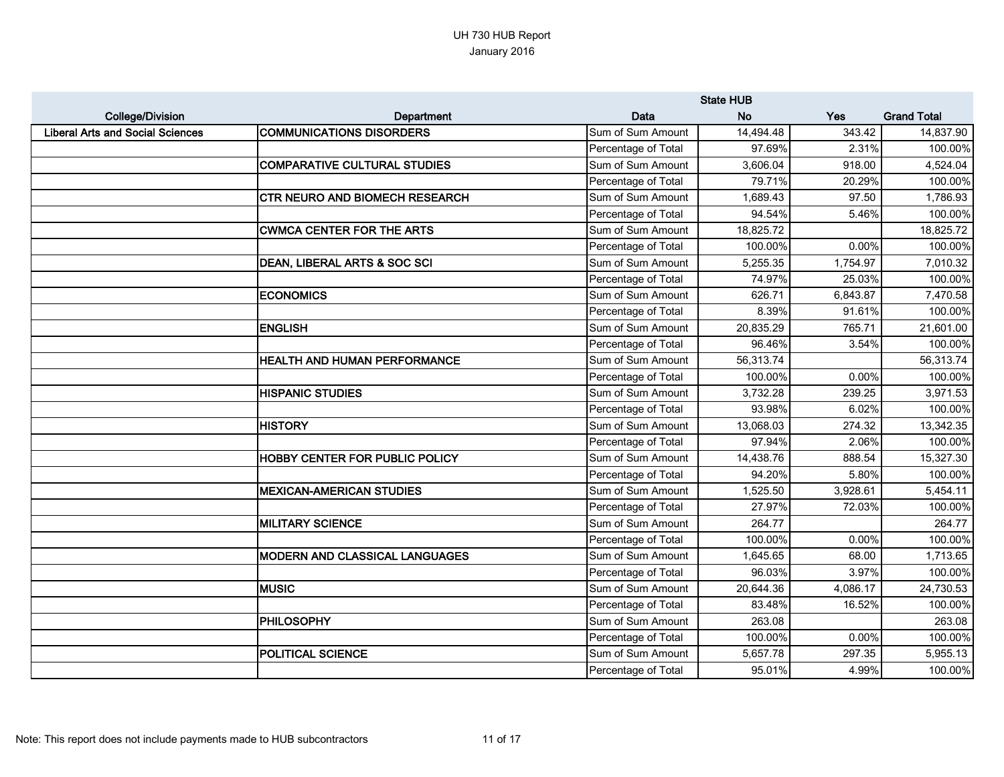|                                         |                                       |                     | <b>State HUB</b> |          |                    |
|-----------------------------------------|---------------------------------------|---------------------|------------------|----------|--------------------|
| <b>College/Division</b>                 | Department                            | Data                | <b>No</b>        | Yes      | <b>Grand Total</b> |
| <b>Liberal Arts and Social Sciences</b> | <b>COMMUNICATIONS DISORDERS</b>       | Sum of Sum Amount   | 14,494.48        | 343.42   | 14,837.90          |
|                                         |                                       | Percentage of Total | 97.69%           | 2.31%    | 100.00%            |
|                                         | <b>COMPARATIVE CULTURAL STUDIES</b>   | Sum of Sum Amount   | 3,606.04         | 918.00   | 4,524.04           |
|                                         |                                       | Percentage of Total | 79.71%           | 20.29%   | 100.00%            |
|                                         | <b>CTR NEURO AND BIOMECH RESEARCH</b> | Sum of Sum Amount   | 1,689.43         | 97.50    | 1,786.93           |
|                                         |                                       | Percentage of Total | 94.54%           | 5.46%    | 100.00%            |
|                                         | <b>CWMCA CENTER FOR THE ARTS</b>      | Sum of Sum Amount   | 18,825.72        |          | 18,825.72          |
|                                         |                                       | Percentage of Total | 100.00%          | 0.00%    | 100.00%            |
|                                         | DEAN, LIBERAL ARTS & SOC SCI          | Sum of Sum Amount   | 5,255.35         | 1,754.97 | 7,010.32           |
|                                         |                                       | Percentage of Total | 74.97%           | 25.03%   | 100.00%            |
|                                         | <b>ECONOMICS</b>                      | Sum of Sum Amount   | 626.71           | 6,843.87 | 7,470.58           |
|                                         |                                       | Percentage of Total | 8.39%            | 91.61%   | 100.00%            |
|                                         | <b>ENGLISH</b>                        | Sum of Sum Amount   | 20,835.29        | 765.71   | 21,601.00          |
|                                         |                                       | Percentage of Total | 96.46%           | 3.54%    | 100.00%            |
|                                         | HEALTH AND HUMAN PERFORMANCE          | Sum of Sum Amount   | 56,313.74        |          | 56,313.74          |
|                                         |                                       | Percentage of Total | 100.00%          | 0.00%    | 100.00%            |
|                                         | <b>HISPANIC STUDIES</b>               | Sum of Sum Amount   | 3,732.28         | 239.25   | 3,971.53           |
|                                         |                                       | Percentage of Total | 93.98%           | 6.02%    | 100.00%            |
|                                         | <b>HISTORY</b>                        | Sum of Sum Amount   | 13,068.03        | 274.32   | 13,342.35          |
|                                         |                                       | Percentage of Total | 97.94%           | 2.06%    | 100.00%            |
|                                         | <b>HOBBY CENTER FOR PUBLIC POLICY</b> | Sum of Sum Amount   | 14,438.76        | 888.54   | 15,327.30          |
|                                         |                                       | Percentage of Total | 94.20%           | 5.80%    | 100.00%            |
|                                         | <b>MEXICAN-AMERICAN STUDIES</b>       | Sum of Sum Amount   | 1,525.50         | 3,928.61 | 5,454.11           |
|                                         |                                       | Percentage of Total | 27.97%           | 72.03%   | 100.00%            |
|                                         | <b>MILITARY SCIENCE</b>               | Sum of Sum Amount   | 264.77           |          | 264.77             |
|                                         |                                       | Percentage of Total | 100.00%          | 0.00%    | 100.00%            |
|                                         | <b>MODERN AND CLASSICAL LANGUAGES</b> | Sum of Sum Amount   | 1,645.65         | 68.00    | 1,713.65           |
|                                         |                                       | Percentage of Total | 96.03%           | 3.97%    | 100.00%            |
|                                         | <b>MUSIC</b>                          | Sum of Sum Amount   | 20,644.36        | 4,086.17 | 24,730.53          |
|                                         |                                       | Percentage of Total | 83.48%           | 16.52%   | 100.00%            |
|                                         | <b>PHILOSOPHY</b>                     | Sum of Sum Amount   | 263.08           |          | 263.08             |
|                                         |                                       | Percentage of Total | 100.00%          | 0.00%    | 100.00%            |
|                                         | <b>POLITICAL SCIENCE</b>              | Sum of Sum Amount   | 5,657.78         | 297.35   | 5,955.13           |
|                                         |                                       | Percentage of Total | 95.01%           | 4.99%    | 100.00%            |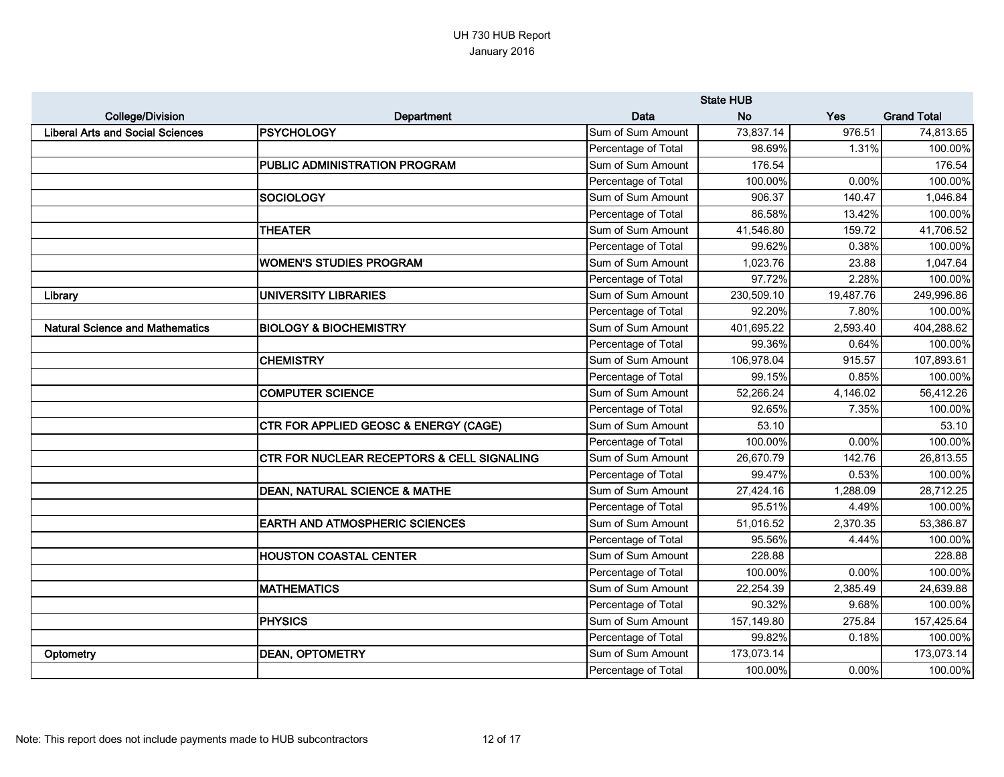|                                         |                                                       |                     | <b>State HUB</b> |           |                    |
|-----------------------------------------|-------------------------------------------------------|---------------------|------------------|-----------|--------------------|
| <b>College/Division</b>                 | Department                                            | Data                | <b>No</b>        | Yes       | <b>Grand Total</b> |
| <b>Liberal Arts and Social Sciences</b> | <b>PSYCHOLOGY</b>                                     | Sum of Sum Amount   | 73,837.14        | 976.51    | 74,813.65          |
|                                         |                                                       | Percentage of Total | 98.69%           | 1.31%     | 100.00%            |
|                                         | <b>PUBLIC ADMINISTRATION PROGRAM</b>                  | Sum of Sum Amount   | 176.54           |           | 176.54             |
|                                         |                                                       | Percentage of Total | 100.00%          | 0.00%     | 100.00%            |
|                                         | <b>SOCIOLOGY</b>                                      | Sum of Sum Amount   | 906.37           | 140.47    | 1,046.84           |
|                                         |                                                       | Percentage of Total | 86.58%           | 13.42%    | 100.00%            |
|                                         | <b>THEATER</b>                                        | Sum of Sum Amount   | 41,546.80        | 159.72    | 41,706.52          |
|                                         |                                                       | Percentage of Total | 99.62%           | 0.38%     | 100.00%            |
|                                         | <b>WOMEN'S STUDIES PROGRAM</b>                        | Sum of Sum Amount   | 1,023.76         | 23.88     | 1,047.64           |
|                                         |                                                       | Percentage of Total | 97.72%           | 2.28%     | 100.00%            |
| Library                                 | <b>UNIVERSITY LIBRARIES</b>                           | Sum of Sum Amount   | 230,509.10       | 19,487.76 | 249,996.86         |
|                                         |                                                       | Percentage of Total | 92.20%           | 7.80%     | 100.00%            |
| <b>Natural Science and Mathematics</b>  | <b>BIOLOGY &amp; BIOCHEMISTRY</b>                     | Sum of Sum Amount   | 401,695.22       | 2,593.40  | 404,288.62         |
|                                         |                                                       | Percentage of Total | 99.36%           | 0.64%     | 100.00%            |
|                                         | <b>CHEMISTRY</b>                                      | Sum of Sum Amount   | 106,978.04       | 915.57    | 107,893.61         |
|                                         |                                                       | Percentage of Total | 99.15%           | 0.85%     | 100.00%            |
|                                         | <b>COMPUTER SCIENCE</b>                               | Sum of Sum Amount   | 52,266.24        | 4,146.02  | 56,412.26          |
|                                         |                                                       | Percentage of Total | 92.65%           | 7.35%     | 100.00%            |
|                                         | <b>CTR FOR APPLIED GEOSC &amp; ENERGY (CAGE)</b>      | Sum of Sum Amount   | 53.10            |           | 53.10              |
|                                         |                                                       | Percentage of Total | 100.00%          | 0.00%     | 100.00%            |
|                                         | <b>CTR FOR NUCLEAR RECEPTORS &amp; CELL SIGNALING</b> | Sum of Sum Amount   | 26,670.79        | 142.76    | 26,813.55          |
|                                         |                                                       | Percentage of Total | 99.47%           | 0.53%     | 100.00%            |
|                                         | <b>DEAN, NATURAL SCIENCE &amp; MATHE</b>              | Sum of Sum Amount   | 27,424.16        | 1,288.09  | 28,712.25          |
|                                         |                                                       | Percentage of Total | 95.51%           | 4.49%     | 100.00%            |
|                                         | <b>EARTH AND ATMOSPHERIC SCIENCES</b>                 | Sum of Sum Amount   | 51,016.52        | 2,370.35  | 53,386.87          |
|                                         |                                                       | Percentage of Total | 95.56%           | 4.44%     | 100.00%            |
|                                         | <b>HOUSTON COASTAL CENTER</b>                         | Sum of Sum Amount   | 228.88           |           | 228.88             |
|                                         |                                                       | Percentage of Total | 100.00%          | 0.00%     | 100.00%            |
|                                         | <b>MATHEMATICS</b>                                    | Sum of Sum Amount   | 22,254.39        | 2,385.49  | 24,639.88          |
|                                         |                                                       | Percentage of Total | 90.32%           | 9.68%     | 100.00%            |
|                                         | <b>PHYSICS</b>                                        | Sum of Sum Amount   | 157,149.80       | 275.84    | 157,425.64         |
|                                         |                                                       | Percentage of Total | 99.82%           | 0.18%     | 100.00%            |
| Optometry                               | <b>DEAN, OPTOMETRY</b>                                | Sum of Sum Amount   | 173,073.14       |           | 173,073.14         |
|                                         |                                                       | Percentage of Total | 100.00%          | 0.00%     | 100.00%            |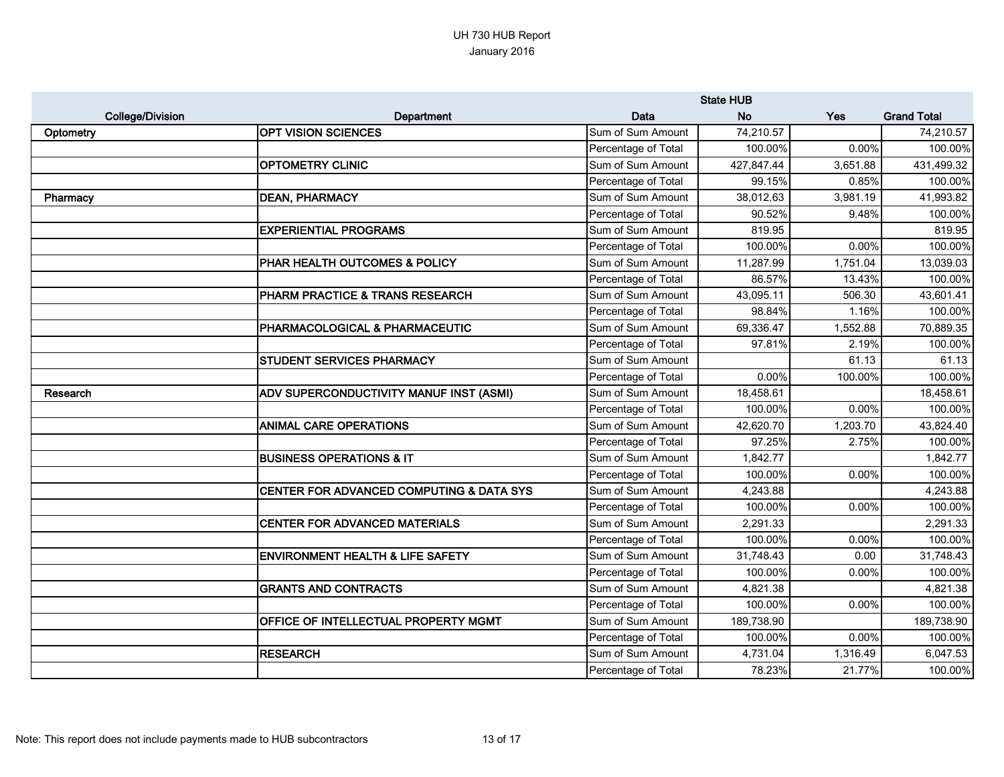|                         |                                                     | <b>State HUB</b>    |            |          |                    |
|-------------------------|-----------------------------------------------------|---------------------|------------|----------|--------------------|
| <b>College/Division</b> | Department                                          | Data                | <b>No</b>  | Yes      | <b>Grand Total</b> |
| Optometry               | <b>OPT VISION SCIENCES</b>                          | Sum of Sum Amount   | 74,210.57  |          | 74,210.57          |
|                         |                                                     | Percentage of Total | 100.00%    | 0.00%    | 100.00%            |
|                         | <b>OPTOMETRY CLINIC</b>                             | Sum of Sum Amount   | 427,847.44 | 3,651.88 | 431,499.32         |
|                         |                                                     | Percentage of Total | 99.15%     | 0.85%    | 100.00%            |
| Pharmacy                | <b>DEAN, PHARMACY</b>                               | Sum of Sum Amount   | 38,012.63  | 3,981.19 | 41,993.82          |
|                         |                                                     | Percentage of Total | 90.52%     | 9.48%    | 100.00%            |
|                         | <b>EXPERIENTIAL PROGRAMS</b>                        | Sum of Sum Amount   | 819.95     |          | 819.95             |
|                         |                                                     | Percentage of Total | 100.00%    | 0.00%    | 100.00%            |
|                         | PHAR HEALTH OUTCOMES & POLICY                       | Sum of Sum Amount   | 11,287.99  | 1,751.04 | 13,039.03          |
|                         |                                                     | Percentage of Total | 86.57%     | 13.43%   | 100.00%            |
|                         | PHARM PRACTICE & TRANS RESEARCH                     | Sum of Sum Amount   | 43,095.11  | 506.30   | 43,601.41          |
|                         |                                                     | Percentage of Total | 98.84%     | 1.16%    | 100.00%            |
|                         | PHARMACOLOGICAL & PHARMACEUTIC                      | Sum of Sum Amount   | 69,336.47  | 1,552.88 | 70,889.35          |
|                         |                                                     | Percentage of Total | 97.81%     | 2.19%    | 100.00%            |
|                         | STUDENT SERVICES PHARMACY                           | Sum of Sum Amount   |            | 61.13    | 61.13              |
|                         |                                                     | Percentage of Total | 0.00%      | 100.00%  | 100.00%            |
| Research                | ADV SUPERCONDUCTIVITY MANUF INST (ASMI)             | Sum of Sum Amount   | 18,458.61  |          | 18,458.61          |
|                         |                                                     | Percentage of Total | 100.00%    | 0.00%    | 100.00%            |
|                         | <b>ANIMAL CARE OPERATIONS</b>                       | Sum of Sum Amount   | 42,620.70  | 1,203.70 | 43,824.40          |
|                         |                                                     | Percentage of Total | 97.25%     | 2.75%    | 100.00%            |
|                         | <b>BUSINESS OPERATIONS &amp; IT</b>                 | Sum of Sum Amount   | 1,842.77   |          | 1,842.77           |
|                         |                                                     | Percentage of Total | 100.00%    | 0.00%    | 100.00%            |
|                         | <b>CENTER FOR ADVANCED COMPUTING &amp; DATA SYS</b> | Sum of Sum Amount   | 4,243.88   |          | 4,243.88           |
|                         |                                                     | Percentage of Total | 100.00%    | 0.00%    | 100.00%            |
|                         | <b>CENTER FOR ADVANCED MATERIALS</b>                | Sum of Sum Amount   | 2,291.33   |          | 2,291.33           |
|                         |                                                     | Percentage of Total | 100.00%    | 0.00%    | 100.00%            |
|                         | <b>ENVIRONMENT HEALTH &amp; LIFE SAFETY</b>         | Sum of Sum Amount   | 31,748.43  | 0.00     | 31,748.43          |
|                         |                                                     | Percentage of Total | 100.00%    | 0.00%    | 100.00%            |
|                         | <b>GRANTS AND CONTRACTS</b>                         | Sum of Sum Amount   | 4,821.38   |          | 4,821.38           |
|                         |                                                     | Percentage of Total | 100.00%    | 0.00%    | 100.00%            |
|                         | <b>OFFICE OF INTELLECTUAL PROPERTY MGMT</b>         | Sum of Sum Amount   | 189,738.90 |          | 189,738.90         |
|                         |                                                     | Percentage of Total | 100.00%    | 0.00%    | 100.00%            |
|                         | <b>RESEARCH</b>                                     | Sum of Sum Amount   | 4,731.04   | 1,316.49 | 6,047.53           |
|                         |                                                     | Percentage of Total | 78.23%     | 21.77%   | 100.00%            |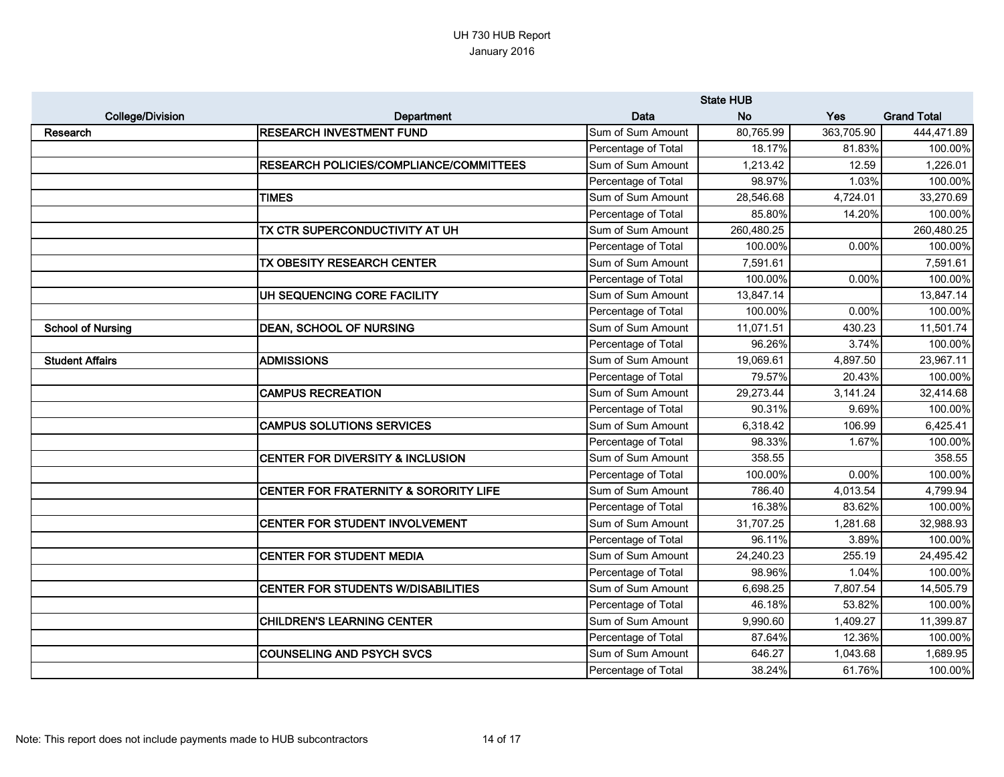|                          |                                                  | <b>State HUB</b>    |            |            |                    |
|--------------------------|--------------------------------------------------|---------------------|------------|------------|--------------------|
| <b>College/Division</b>  | Department                                       | Data                | <b>No</b>  | Yes        | <b>Grand Total</b> |
| <b>Research</b>          | <b>RESEARCH INVESTMENT FUND</b>                  | Sum of Sum Amount   | 80,765.99  | 363,705.90 | 444,471.89         |
|                          |                                                  | Percentage of Total | 18.17%     | 81.83%     | 100.00%            |
|                          | <b>RESEARCH POLICIES/COMPLIANCE/COMMITTEES</b>   | Sum of Sum Amount   | 1,213.42   | 12.59      | 1,226.01           |
|                          |                                                  | Percentage of Total | 98.97%     | 1.03%      | 100.00%            |
|                          | <b>TIMES</b>                                     | Sum of Sum Amount   | 28,546.68  | 4,724.01   | 33,270.69          |
|                          |                                                  | Percentage of Total | 85.80%     | 14.20%     | 100.00%            |
|                          | TX CTR SUPERCONDUCTIVITY AT UH                   | Sum of Sum Amount   | 260,480.25 |            | 260,480.25         |
|                          |                                                  | Percentage of Total | 100.00%    | 0.00%      | 100.00%            |
|                          | TX OBESITY RESEARCH CENTER                       | Sum of Sum Amount   | 7,591.61   |            | 7,591.61           |
|                          |                                                  | Percentage of Total | 100.00%    | 0.00%      | 100.00%            |
|                          | UH SEQUENCING CORE FACILITY                      | Sum of Sum Amount   | 13,847.14  |            | 13,847.14          |
|                          |                                                  | Percentage of Total | 100.00%    | 0.00%      | 100.00%            |
| <b>School of Nursing</b> | <b>DEAN, SCHOOL OF NURSING</b>                   | Sum of Sum Amount   | 11,071.51  | 430.23     | 11,501.74          |
|                          |                                                  | Percentage of Total | 96.26%     | 3.74%      | 100.00%            |
| <b>Student Affairs</b>   | <b>ADMISSIONS</b>                                | Sum of Sum Amount   | 19,069.61  | 4,897.50   | 23,967.11          |
|                          |                                                  | Percentage of Total | 79.57%     | 20.43%     | 100.00%            |
|                          | <b>CAMPUS RECREATION</b>                         | Sum of Sum Amount   | 29,273.44  | 3,141.24   | 32,414.68          |
|                          |                                                  | Percentage of Total | 90.31%     | 9.69%      | 100.00%            |
|                          | <b>CAMPUS SOLUTIONS SERVICES</b>                 | Sum of Sum Amount   | 6,318.42   | 106.99     | 6,425.41           |
|                          |                                                  | Percentage of Total | 98.33%     | 1.67%      | 100.00%            |
|                          | <b>CENTER FOR DIVERSITY &amp; INCLUSION</b>      | Sum of Sum Amount   | 358.55     |            | 358.55             |
|                          |                                                  | Percentage of Total | 100.00%    | 0.00%      | 100.00%            |
|                          | <b>CENTER FOR FRATERNITY &amp; SORORITY LIFE</b> | Sum of Sum Amount   | 786.40     | 4,013.54   | 4,799.94           |
|                          |                                                  | Percentage of Total | 16.38%     | 83.62%     | 100.00%            |
|                          | CENTER FOR STUDENT INVOLVEMENT                   | Sum of Sum Amount   | 31,707.25  | 1,281.68   | 32,988.93          |
|                          |                                                  | Percentage of Total | 96.11%     | 3.89%      | 100.00%            |
|                          | <b>CENTER FOR STUDENT MEDIA</b>                  | Sum of Sum Amount   | 24,240.23  | 255.19     | 24,495.42          |
|                          |                                                  | Percentage of Total | 98.96%     | 1.04%      | 100.00%            |
|                          | <b>CENTER FOR STUDENTS W/DISABILITIES</b>        | Sum of Sum Amount   | 6,698.25   | 7,807.54   | 14,505.79          |
|                          |                                                  | Percentage of Total | 46.18%     | 53.82%     | 100.00%            |
|                          | <b>CHILDREN'S LEARNING CENTER</b>                | Sum of Sum Amount   | 9,990.60   | 1,409.27   | 11,399.87          |
|                          |                                                  | Percentage of Total | 87.64%     | 12.36%     | 100.00%            |
|                          | <b>COUNSELING AND PSYCH SVCS</b>                 | Sum of Sum Amount   | 646.27     | 1,043.68   | 1,689.95           |
|                          |                                                  | Percentage of Total | 38.24%     | 61.76%     | 100.00%            |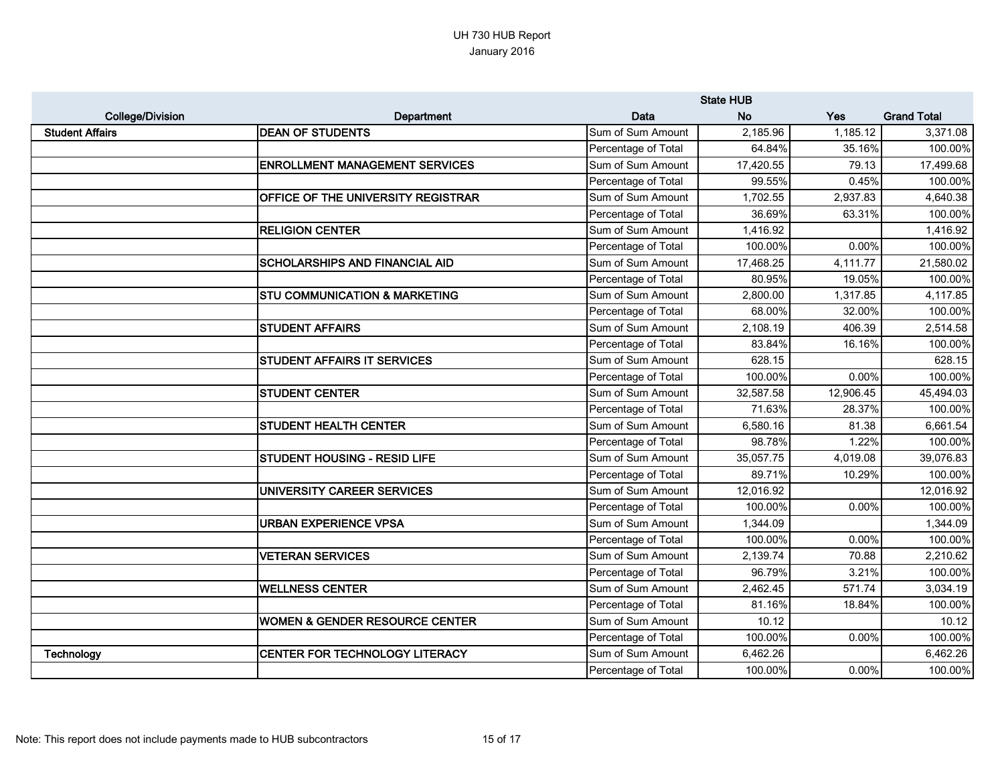|                         |                                           | <b>State HUB</b>    |           |           |                    |
|-------------------------|-------------------------------------------|---------------------|-----------|-----------|--------------------|
| <b>College/Division</b> | Department                                | Data                | <b>No</b> | Yes       | <b>Grand Total</b> |
| <b>Student Affairs</b>  | <b>DEAN OF STUDENTS</b>                   | Sum of Sum Amount   | 2,185.96  | 1,185.12  | 3,371.08           |
|                         |                                           | Percentage of Total | 64.84%    | 35.16%    | 100.00%            |
|                         | <b>ENROLLMENT MANAGEMENT SERVICES</b>     | Sum of Sum Amount   | 17,420.55 | 79.13     | 17,499.68          |
|                         |                                           | Percentage of Total | 99.55%    | 0.45%     | 100.00%            |
|                         | OFFICE OF THE UNIVERSITY REGISTRAR        | Sum of Sum Amount   | 1,702.55  | 2,937.83  | 4,640.38           |
|                         |                                           | Percentage of Total | 36.69%    | 63.31%    | 100.00%            |
|                         | <b>RELIGION CENTER</b>                    | Sum of Sum Amount   | 1,416.92  |           | 1,416.92           |
|                         |                                           | Percentage of Total | 100.00%   | 0.00%     | 100.00%            |
|                         | <b>SCHOLARSHIPS AND FINANCIAL AID</b>     | Sum of Sum Amount   | 17,468.25 | 4,111.77  | 21,580.02          |
|                         |                                           | Percentage of Total | 80.95%    | 19.05%    | 100.00%            |
|                         | <b>STU COMMUNICATION &amp; MARKETING</b>  | Sum of Sum Amount   | 2,800.00  | 1,317.85  | 4,117.85           |
|                         |                                           | Percentage of Total | 68.00%    | 32.00%    | 100.00%            |
|                         | <b>STUDENT AFFAIRS</b>                    | Sum of Sum Amount   | 2,108.19  | 406.39    | 2,514.58           |
|                         |                                           | Percentage of Total | 83.84%    | 16.16%    | 100.00%            |
|                         | <b>STUDENT AFFAIRS IT SERVICES</b>        | Sum of Sum Amount   | 628.15    |           | 628.15             |
|                         |                                           | Percentage of Total | 100.00%   | 0.00%     | 100.00%            |
|                         | <b>STUDENT CENTER</b>                     | Sum of Sum Amount   | 32,587.58 | 12,906.45 | 45,494.03          |
|                         |                                           | Percentage of Total | 71.63%    | 28.37%    | 100.00%            |
|                         | <b>STUDENT HEALTH CENTER</b>              | Sum of Sum Amount   | 6,580.16  | 81.38     | 6,661.54           |
|                         |                                           | Percentage of Total | 98.78%    | 1.22%     | 100.00%            |
|                         | <b>STUDENT HOUSING - RESID LIFE</b>       | Sum of Sum Amount   | 35,057.75 | 4,019.08  | 39,076.83          |
|                         |                                           | Percentage of Total | 89.71%    | 10.29%    | 100.00%            |
|                         | UNIVERSITY CAREER SERVICES                | Sum of Sum Amount   | 12,016.92 |           | 12,016.92          |
|                         |                                           | Percentage of Total | 100.00%   | 0.00%     | 100.00%            |
|                         | <b>URBAN EXPERIENCE VPSA</b>              | Sum of Sum Amount   | 1,344.09  |           | 1,344.09           |
|                         |                                           | Percentage of Total | 100.00%   | 0.00%     | 100.00%            |
|                         | <b>VETERAN SERVICES</b>                   | Sum of Sum Amount   | 2,139.74  | 70.88     | 2,210.62           |
|                         |                                           | Percentage of Total | 96.79%    | 3.21%     | 100.00%            |
|                         | <b>WELLNESS CENTER</b>                    | Sum of Sum Amount   | 2,462.45  | 571.74    | 3,034.19           |
|                         |                                           | Percentage of Total | 81.16%    | 18.84%    | 100.00%            |
|                         | <b>WOMEN &amp; GENDER RESOURCE CENTER</b> | Sum of Sum Amount   | 10.12     |           | 10.12              |
|                         |                                           | Percentage of Total | 100.00%   | 0.00%     | 100.00%            |
| Technology              | CENTER FOR TECHNOLOGY LITERACY            | Sum of Sum Amount   | 6,462.26  |           | 6,462.26           |
|                         |                                           | Percentage of Total | 100.00%   | 0.00%     | 100.00%            |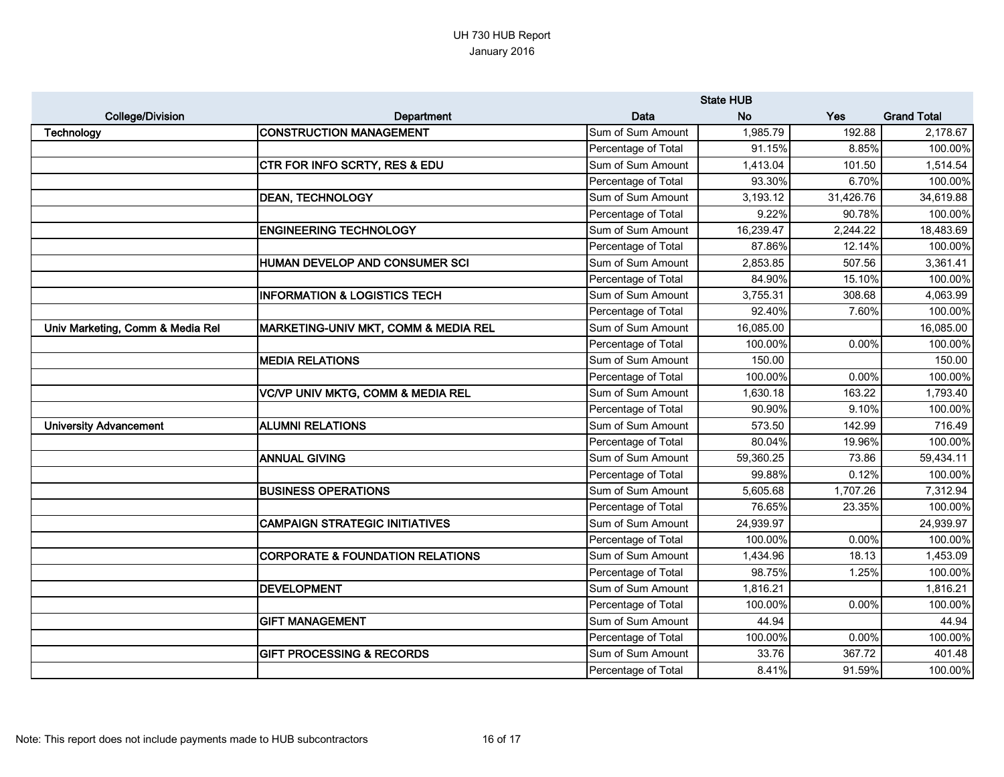|                                  |                                                  | <b>State HUB</b>    |           |           |                    |
|----------------------------------|--------------------------------------------------|---------------------|-----------|-----------|--------------------|
| <b>College/Division</b>          | Department                                       | Data                | <b>No</b> | Yes       | <b>Grand Total</b> |
| <b>Technology</b>                | <b>CONSTRUCTION MANAGEMENT</b>                   | Sum of Sum Amount   | 1,985.79  | 192.88    | 2,178.67           |
|                                  |                                                  | Percentage of Total | 91.15%    | 8.85%     | 100.00%            |
|                                  | CTR FOR INFO SCRTY, RES & EDU                    | Sum of Sum Amount   | 1,413.04  | 101.50    | 1,514.54           |
|                                  |                                                  | Percentage of Total | 93.30%    | 6.70%     | 100.00%            |
|                                  | <b>DEAN, TECHNOLOGY</b>                          | Sum of Sum Amount   | 3,193.12  | 31,426.76 | 34,619.88          |
|                                  |                                                  | Percentage of Total | 9.22%     | 90.78%    | 100.00%            |
|                                  | <b>ENGINEERING TECHNOLOGY</b>                    | Sum of Sum Amount   | 16,239.47 | 2,244.22  | 18,483.69          |
|                                  |                                                  | Percentage of Total | 87.86%    | 12.14%    | 100.00%            |
|                                  | <b>HUMAN DEVELOP AND CONSUMER SCI</b>            | Sum of Sum Amount   | 2,853.85  | 507.56    | 3,361.41           |
|                                  |                                                  | Percentage of Total | 84.90%    | 15.10%    | 100.00%            |
|                                  | <b>INFORMATION &amp; LOGISTICS TECH</b>          | Sum of Sum Amount   | 3,755.31  | 308.68    | 4,063.99           |
|                                  |                                                  | Percentage of Total | 92.40%    | 7.60%     | 100.00%            |
| Univ Marketing, Comm & Media Rel | <b> MARKETING-UNIV MKT, COMM &amp; MEDIA REL</b> | Sum of Sum Amount   | 16,085.00 |           | 16,085.00          |
|                                  |                                                  | Percentage of Total | 100.00%   | 0.00%     | 100.00%            |
|                                  | <b>MEDIA RELATIONS</b>                           | Sum of Sum Amount   | 150.00    |           | 150.00             |
|                                  |                                                  | Percentage of Total | 100.00%   | 0.00%     | 100.00%            |
|                                  | <b>VC/VP UNIV MKTG, COMM &amp; MEDIA REL</b>     | Sum of Sum Amount   | 1,630.18  | 163.22    | 1,793.40           |
|                                  |                                                  | Percentage of Total | 90.90%    | 9.10%     | 100.00%            |
| <b>University Advancement</b>    | <b>ALUMNI RELATIONS</b>                          | Sum of Sum Amount   | 573.50    | 142.99    | 716.49             |
|                                  |                                                  | Percentage of Total | 80.04%    | 19.96%    | 100.00%            |
|                                  | <b>ANNUAL GIVING</b>                             | Sum of Sum Amount   | 59,360.25 | 73.86     | 59,434.11          |
|                                  |                                                  | Percentage of Total | 99.88%    | 0.12%     | 100.00%            |
|                                  | <b>BUSINESS OPERATIONS</b>                       | Sum of Sum Amount   | 5,605.68  | 1,707.26  | 7,312.94           |
|                                  |                                                  | Percentage of Total | 76.65%    | 23.35%    | 100.00%            |
|                                  | <b>CAMPAIGN STRATEGIC INITIATIVES</b>            | Sum of Sum Amount   | 24,939.97 |           | 24,939.97          |
|                                  |                                                  | Percentage of Total | 100.00%   | 0.00%     | 100.00%            |
|                                  | <b>CORPORATE &amp; FOUNDATION RELATIONS</b>      | Sum of Sum Amount   | 1,434.96  | 18.13     | 1,453.09           |
|                                  |                                                  | Percentage of Total | 98.75%    | 1.25%     | 100.00%            |
|                                  | <b>DEVELOPMENT</b>                               | Sum of Sum Amount   | 1,816.21  |           | 1,816.21           |
|                                  |                                                  | Percentage of Total | 100.00%   | 0.00%     | 100.00%            |
|                                  | <b>GIFT MANAGEMENT</b>                           | Sum of Sum Amount   | 44.94     |           | 44.94              |
|                                  |                                                  | Percentage of Total | 100.00%   | 0.00%     | 100.00%            |
|                                  | <b>GIFT PROCESSING &amp; RECORDS</b>             | Sum of Sum Amount   | 33.76     | 367.72    | 401.48             |
|                                  |                                                  | Percentage of Total | 8.41%     | 91.59%    | 100.00%            |